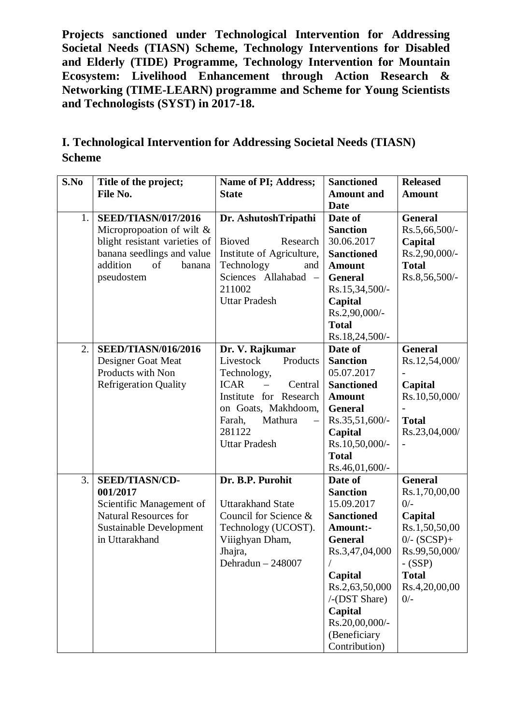**Projects sanctioned under Technological Intervention for Addressing Societal Needs (TIASN) Scheme, Technology Interventions for Disabled and Elderly (TIDE) Programme, Technology Intervention for Mountain Ecosystem: Livelihood Enhancement through Action Research & Networking (TIME-LEARN) programme and Scheme for Young Scientists and Technologists (SYST) in 2017-18.**

## **I. Technological Intervention for Addressing Societal Needs (TIASN) Scheme**

| S.No | Title of the project;                                  | Name of PI; Address;                              | <b>Sanctioned</b>                  | <b>Released</b>                 |
|------|--------------------------------------------------------|---------------------------------------------------|------------------------------------|---------------------------------|
|      | File No.                                               | <b>State</b>                                      | <b>Amount</b> and                  | <b>Amount</b>                   |
|      |                                                        |                                                   | <b>Date</b>                        |                                 |
| 1.   | <b>SEED/TIASN/017/2016</b>                             | Dr. AshutoshTripathi                              | Date of<br><b>Sanction</b>         | <b>General</b><br>Rs.5,66,500/- |
|      | Micropropoation of wilt $\&$                           | <b>Bioved</b><br>Research                         | 30.06.2017                         |                                 |
|      | blight resistant varieties of                          | Institute of Agriculture,                         |                                    | Capital<br>Rs.2,90,000/-        |
|      | banana seedlings and value<br>addition<br>banana<br>of | Technology<br>and                                 | <b>Sanctioned</b><br><b>Amount</b> | <b>Total</b>                    |
|      | pseudostem                                             | Sciences Allahabad<br>$\overline{\phantom{0}}$    | <b>General</b>                     | Rs.8,56,500/-                   |
|      |                                                        | 211002                                            | Rs.15,34,500/-                     |                                 |
|      |                                                        | <b>Uttar Pradesh</b>                              | Capital                            |                                 |
|      |                                                        |                                                   | Rs.2,90,000/-                      |                                 |
|      |                                                        |                                                   | <b>Total</b>                       |                                 |
|      |                                                        |                                                   | Rs.18,24,500/-                     |                                 |
| 2.   | <b>SEED/TIASN/016/2016</b>                             | Dr. V. Rajkumar                                   | Date of                            | <b>General</b>                  |
|      | Designer Goat Meat                                     | Livestock<br>Products                             | <b>Sanction</b>                    | Rs.12,54,000/                   |
|      | Products with Non                                      | Technology,                                       | 05.07.2017                         |                                 |
|      | <b>Refrigeration Quality</b>                           | <b>ICAR</b><br>Central                            | <b>Sanctioned</b>                  | Capital                         |
|      |                                                        | Institute for Research                            | <b>Amount</b>                      | Rs.10,50,000/                   |
|      |                                                        | on Goats, Makhdoom,                               | <b>General</b>                     |                                 |
|      |                                                        | Mathura<br>Farah,                                 | Rs.35,51,600/-                     | <b>Total</b>                    |
|      |                                                        | 281122                                            | Capital                            | Rs.23,04,000/                   |
|      |                                                        | <b>Uttar Pradesh</b>                              | Rs.10,50,000/-                     |                                 |
|      |                                                        |                                                   | <b>Total</b>                       |                                 |
|      |                                                        |                                                   | Rs.46,01,600/-                     |                                 |
| 3.   | <b>SEED/TIASN/CD-</b>                                  | Dr. B.P. Purohit                                  | Date of                            | <b>General</b>                  |
|      | 001/2017                                               |                                                   | <b>Sanction</b>                    | Rs.1,70,00,00                   |
|      | Scientific Management of                               | <b>Uttarakhand State</b><br>Council for Science & | 15.09.2017                         | $0/-$                           |
|      | <b>Natural Resources for</b>                           |                                                   | <b>Sanctioned</b>                  | Capital                         |
|      | <b>Sustainable Development</b><br>in Uttarakhand       | Technology (UCOST).                               | Amount:-<br><b>General</b>         | Rs.1,50,50,00                   |
|      |                                                        | Viiighyan Dham,                                   | Rs.3,47,04,000                     | $0/- (SCSP) +$<br>Rs.99,50,000/ |
|      |                                                        | Jhajra,<br>Dehradun - 248007                      |                                    |                                 |
|      |                                                        |                                                   | Capital                            | $-$ (SSP)<br><b>Total</b>       |
|      |                                                        |                                                   | Rs.2,63,50,000                     | Rs.4,20,00,00                   |
|      |                                                        |                                                   | $/$ -(DST Share)                   | $0/-$                           |
|      |                                                        |                                                   | Capital                            |                                 |
|      |                                                        |                                                   | Rs.20,00,000/-                     |                                 |
|      |                                                        |                                                   | (Beneficiary                       |                                 |
|      |                                                        |                                                   | Contribution)                      |                                 |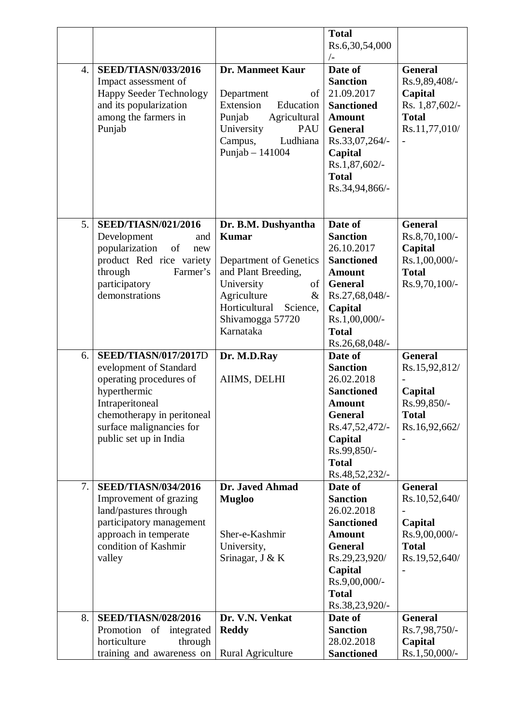|    |                                                                                                                                                                                                         |                                                                                                                                                                                            | <b>Total</b><br>Rs.6,30,54,000<br>/                                                                                                                                              |                                                                                               |
|----|---------------------------------------------------------------------------------------------------------------------------------------------------------------------------------------------------------|--------------------------------------------------------------------------------------------------------------------------------------------------------------------------------------------|----------------------------------------------------------------------------------------------------------------------------------------------------------------------------------|-----------------------------------------------------------------------------------------------|
| 4. | <b>SEED/TIASN/033/2016</b><br>Impact assessment of<br><b>Happy Seeder Technology</b><br>and its popularization<br>among the farmers in<br>Punjab                                                        | <b>Dr. Manmeet Kaur</b><br>Department<br>of<br>Extension<br>Education<br>Punjab<br>Agricultural<br>University<br>PAU<br>Ludhiana<br>Campus,<br>Punjab $-141004$                            | Date of<br><b>Sanction</b><br>21.09.2017<br><b>Sanctioned</b><br><b>Amount</b><br><b>General</b><br>Rs.33,07,264/-<br>Capital<br>Rs.1,87,602/-<br><b>Total</b><br>Rs.34,94,866/- | <b>General</b><br>Rs.9,89,408/-<br>Capital<br>Rs. 1,87,602/-<br><b>Total</b><br>Rs.11,77,010/ |
| 5. | <b>SEED/TIASN/021/2016</b><br>Development<br>and<br>popularization<br>of<br>new<br>product Red rice variety<br>through<br>Farmer's<br>participatory<br>demonstrations                                   | Dr. B.M. Dushyantha<br><b>Kumar</b><br>Department of Genetics<br>and Plant Breeding,<br>University<br>of<br>Agriculture<br>&<br>Horticultural<br>Science,<br>Shivamogga 57720<br>Karnataka | Date of<br><b>Sanction</b><br>26.10.2017<br><b>Sanctioned</b><br><b>Amount</b><br><b>General</b><br>Rs.27,68,048/-<br>Capital<br>Rs.1,00,000/-<br><b>Total</b><br>Rs.26,68,048/- | <b>General</b><br>Rs.8,70,100/-<br>Capital<br>Rs.1,00,000/-<br><b>Total</b><br>Rs.9,70,100/-  |
| 6. | <b>SEED/TIASN/017/2017D</b><br>evelopment of Standard<br>operating procedures of<br>hyperthermic<br>Intraperitoneal<br>chemotherapy in peritoneal<br>surface malignancies for<br>public set up in India | Dr. M.D.Ray<br>AIIMS, DELHI                                                                                                                                                                | Date of<br><b>Sanction</b><br>26.02.2018<br><b>Sanctioned</b><br><b>Amount</b><br>General<br>Rs.47,52,472/-<br>Capital<br>Rs.99,850/-<br><b>Total</b><br>Rs.48,52,232/-          | <b>General</b><br>Rs.15,92,812/<br>Capital<br>Rs.99,850/-<br><b>Total</b><br>Rs.16,92,662/    |
| 7. | <b>SEED/TIASN/034/2016</b><br>Improvement of grazing<br>land/pastures through<br>participatory management<br>approach in temperate<br>condition of Kashmir<br>valley                                    | Dr. Javed Ahmad<br><b>Mugloo</b><br>Sher-e-Kashmir<br>University,<br>Srinagar, J & K                                                                                                       | Date of<br><b>Sanction</b><br>26.02.2018<br><b>Sanctioned</b><br><b>Amount</b><br><b>General</b><br>Rs.29,23,920/<br>Capital<br>Rs.9,00,000/-<br><b>Total</b><br>Rs.38,23,920/-  | <b>General</b><br>Rs.10,52,640/<br>Capital<br>Rs.9,00,000/-<br><b>Total</b><br>Rs.19,52,640/  |
| 8. | <b>SEED/TIASN/028/2016</b><br>Promotion of<br>integrated<br>horticulture<br>through<br>training and awareness on                                                                                        | Dr. V.N. Venkat<br><b>Reddy</b><br>Rural Agriculture                                                                                                                                       | Date of<br><b>Sanction</b><br>28.02.2018<br><b>Sanctioned</b>                                                                                                                    | <b>General</b><br>Rs.7,98,750/-<br>Capital<br>Rs.1,50,000/-                                   |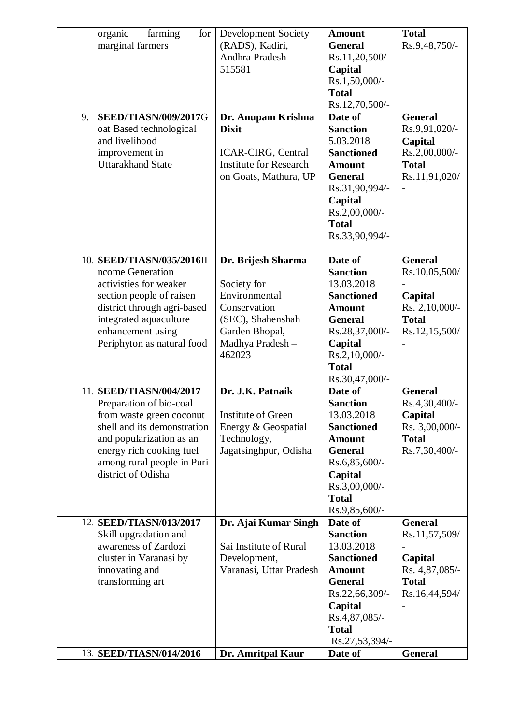|     | farming<br>organic<br>for <sub>1</sub>        | Development Society                     | <b>Amount</b>                   | <b>Total</b>                   |
|-----|-----------------------------------------------|-----------------------------------------|---------------------------------|--------------------------------|
|     | marginal farmers                              | (RADS), Kadiri,                         | <b>General</b>                  | Rs.9,48,750/-                  |
|     |                                               | Andhra Pradesh-                         | Rs.11,20,500/-                  |                                |
|     |                                               | 515581                                  | Capital                         |                                |
|     |                                               |                                         | Rs.1,50,000/-                   |                                |
|     |                                               |                                         | <b>Total</b>                    |                                |
|     |                                               |                                         | Rs.12,70,500/-                  |                                |
| 9.  | <b>SEED/TIASN/009/2017G</b>                   | Dr. Anupam Krishna                      | Date of                         | <b>General</b>                 |
|     | oat Based technological                       | <b>Dixit</b>                            | <b>Sanction</b>                 | Rs.9,91,020/-                  |
|     | and livelihood                                |                                         | 5.03.2018                       | Capital                        |
|     | improvement in                                | <b>ICAR-CIRG, Central</b>               | <b>Sanctioned</b>               | Rs.2,00,000/-                  |
|     | <b>Uttarakhand State</b>                      | <b>Institute for Research</b>           | <b>Amount</b>                   | <b>Total</b>                   |
|     |                                               | on Goats, Mathura, UP                   | <b>General</b>                  | Rs.11,91,020/                  |
|     |                                               |                                         | Rs.31,90,994/-                  |                                |
|     |                                               |                                         | Capital                         |                                |
|     |                                               |                                         | Rs.2,00,000/-                   |                                |
|     |                                               |                                         | <b>Total</b>                    |                                |
|     |                                               |                                         | Rs.33,90,994/-                  |                                |
|     |                                               |                                         |                                 |                                |
| 10. | <b>SEED/TIASN/035/2016II</b>                  | Dr. Brijesh Sharma                      | Date of                         | <b>General</b>                 |
|     | ncome Generation                              |                                         | <b>Sanction</b>                 | Rs.10,05,500/                  |
|     | activisties for weaker                        | Society for                             | 13.03.2018                      |                                |
|     | section people of raisen                      | Environmental                           | <b>Sanctioned</b>               | Capital                        |
|     | district through agri-based                   | Conservation                            | <b>Amount</b>                   | Rs. 2,10,000/-                 |
|     | integrated aquaculture                        | (SEC), Shahenshah                       | <b>General</b>                  | <b>Total</b>                   |
|     | enhancement using                             | Garden Bhopal,                          | Rs.28,37,000/-                  | Rs.12,15,500/                  |
|     | Periphyton as natural food                    | Madhya Pradesh-                         | Capital                         |                                |
|     |                                               | 462023                                  | Rs.2,10,000/-                   |                                |
|     |                                               |                                         | <b>Total</b>                    |                                |
|     |                                               |                                         | Rs.30,47,000/-                  |                                |
| 11  | <b>SEED/TIASN/004/2017</b>                    | Dr. J.K. Patnaik                        | Date of                         | <b>General</b>                 |
|     | Preparation of bio-coal                       |                                         | <b>Sanction</b>                 | Rs.4,30,400/-                  |
|     | from waste green coconut                      | Institute of Green                      | 13.03.2018                      | Capital                        |
|     | shell and its demonstration                   | Energy & Geospatial                     | <b>Sanctioned</b>               | Rs. 3,00,000/-                 |
|     | and popularization as an                      | Technology,                             | <b>Amount</b>                   | <b>Total</b>                   |
|     | energy rich cooking fuel                      | Jagatsinghpur, Odisha                   | <b>General</b>                  | Rs.7,30,400/-                  |
|     | among rural people in Puri                    |                                         | Rs.6,85,600/-                   |                                |
|     | district of Odisha                            |                                         | Capital                         |                                |
|     |                                               |                                         | Rs.3,00,000/-                   |                                |
|     |                                               |                                         | <b>Total</b>                    |                                |
|     |                                               |                                         | Rs.9,85,600/-                   |                                |
| 12. | <b>SEED/TIASN/013/2017</b>                    | Dr. Ajai Kumar Singh                    | Date of<br><b>Sanction</b>      | <b>General</b>                 |
|     | Skill upgradation and<br>awareness of Zardozi | Sai Institute of Rural                  | 13.03.2018                      | Rs.11,57,509/                  |
|     |                                               |                                         |                                 |                                |
|     | cluster in Varanasi by                        | Development,<br>Varanasi, Uttar Pradesh | <b>Sanctioned</b>               | Capital                        |
|     | innovating and<br>transforming art            |                                         | <b>Amount</b><br><b>General</b> | Rs. 4,87,085/-<br><b>Total</b> |
|     |                                               |                                         |                                 |                                |
|     |                                               |                                         | Rs.22,66,309/-<br>Capital       | Rs.16,44,594/                  |
|     |                                               |                                         | Rs.4,87,085/-                   |                                |
|     |                                               |                                         | <b>Total</b>                    |                                |
|     |                                               |                                         | Rs.27,53,394/-                  |                                |
|     | 13 SEED/TIASN/014/2016                        | Dr. Amritpal Kaur                       | Date of                         | General                        |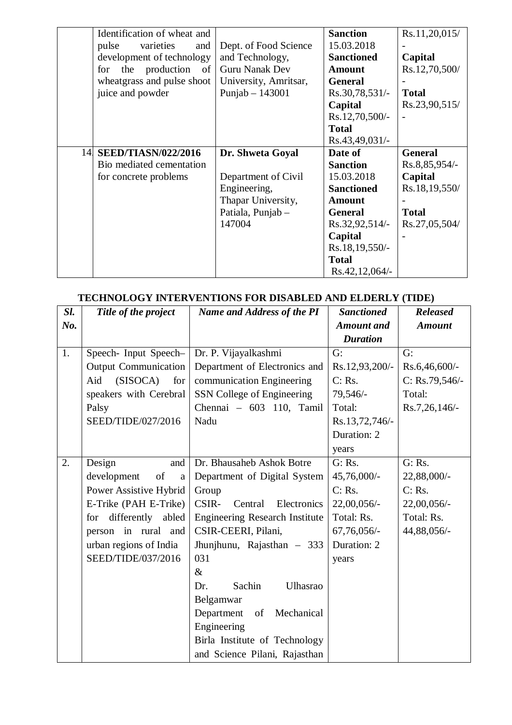|     | Identification of wheat and      |                       | <b>Sanction</b>   | Rs.11,20,015/  |
|-----|----------------------------------|-----------------------|-------------------|----------------|
|     | pulse<br>varieties<br>and        | Dept. of Food Science | 15.03.2018        |                |
|     | development of technology        | and Technology,       | <b>Sanctioned</b> | Capital        |
|     | the<br>production<br>of  <br>for | <b>Guru Nanak Dev</b> | <b>Amount</b>     | Rs.12,70,500/  |
|     | wheatgrass and pulse shoot       | University, Amritsar, | <b>General</b>    |                |
|     | juice and powder                 | Punjab $-143001$      | $Rs.30,78,531/-$  | <b>Total</b>   |
|     |                                  |                       | Capital           | Rs.23,90,515/  |
|     |                                  |                       | Rs.12,70,500/-    |                |
|     |                                  |                       | <b>Total</b>      |                |
|     |                                  |                       | Rs.43,49,031/-    |                |
| 14. | <b>SEED/TIASN/022/2016</b>       | Dr. Shweta Goyal      | Date of           | <b>General</b> |
|     | Bio mediated cementation         |                       | <b>Sanction</b>   | Rs.8,85,954/-  |
|     | for concrete problems            | Department of Civil   | 15.03.2018        | Capital        |
|     |                                  | Engineering,          | <b>Sanctioned</b> | Rs.18,19,550/  |
|     |                                  | Thapar University,    | <b>Amount</b>     |                |
|     |                                  | Patiala, Punjab -     | <b>General</b>    | <b>Total</b>   |
|     |                                  | 147004                | Rs.32,92,514/-    | Rs.27,05,504/  |
|     |                                  |                       | Capital           |                |
|     |                                  |                       | Rs.18,19,550/-    |                |
|     |                                  |                       | <b>Total</b>      |                |
|     |                                  |                       | $Rs.42,12,064/-$  |                |

| <b>TECHNOLOGY INTERVENTIONS FOR DISABLED AND ELDERLY (TIDE)</b> |  |  |  |
|-----------------------------------------------------------------|--|--|--|

| Sl. | Title of the project              | л різінене інф нерекет (тіре)<br><b>Name and Address of the PI</b> | <b>Sanctioned</b> | <b>Released</b>   |
|-----|-----------------------------------|--------------------------------------------------------------------|-------------------|-------------------|
| No. |                                   |                                                                    | <b>Amount</b> and | <b>Amount</b>     |
|     |                                   |                                                                    | <b>Duration</b>   |                   |
| 1.  | Speech- Input Speech-             | Dr. P. Vijayalkashmi                                               | G:                | G:                |
|     | <b>Output Communication</b>       | Department of Electronics and                                      | Rs.12,93,200/-    | $Rs.6,46,600/$ -  |
|     | (SISOCA)<br>Aid<br>for            | communication Engineering                                          | C: Rs.            | $C: Rs.79,546/$ - |
|     | speakers with Cerebral            | SSN College of Engineering                                         | 79,546/-          | Total:            |
|     | Palsy                             | Chennai - 603 110, Tamil                                           | Total:            | Rs.7,26,146/      |
|     | SEED/TIDE/027/2016                | Nadu                                                               | Rs.13,72,746/-    |                   |
|     |                                   |                                                                    | Duration: 2       |                   |
|     |                                   |                                                                    | years             |                   |
| 2.  | and<br>Design                     | Dr. Bhausaheb Ashok Botre                                          | G: Rs.            | G: Rs.            |
|     | development<br>of<br>$\mathbf{a}$ | Department of Digital System                                       | 45,76,000/-       | 22,88,000/-       |
|     | Power Assistive Hybrid            | Group                                                              | C: Rs.            | C: Rs.            |
|     | E-Trike (PAH E-Trike)             | CSIR-<br>Central<br>Electronics                                    | 22,00,056/-       | $22,00,056/$ -    |
|     | differently abled<br>for          | <b>Engineering Research Institute</b>                              | Total: Rs.        | Total: Rs.        |
|     | person in rural<br>and            | CSIR-CEERI, Pilani,                                                | 67,76,056/-       | 44,88,056/-       |
|     | urban regions of India            | Jhunjhunu, Rajasthan - 333                                         | Duration: 2       |                   |
|     | SEED/TIDE/037/2016                | 031                                                                | years             |                   |
|     |                                   | $\&$                                                               |                   |                   |
|     |                                   | Sachin<br>Ulhasrao<br>Dr.                                          |                   |                   |
|     |                                   | Belgamwar                                                          |                   |                   |
|     |                                   | Department<br>of<br>Mechanical                                     |                   |                   |
|     |                                   | Engineering                                                        |                   |                   |
|     |                                   | Birla Institute of Technology                                      |                   |                   |
|     |                                   | and Science Pilani, Rajasthan                                      |                   |                   |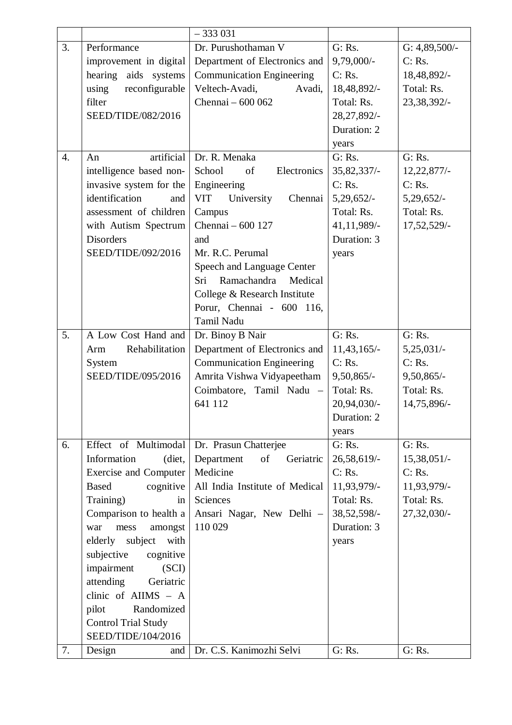|                  |                              | $-333031$                           |               |                 |
|------------------|------------------------------|-------------------------------------|---------------|-----------------|
| 3.               | Performance                  | Dr. Purushothaman V                 | G: Rs.        | G: $4,89,500/-$ |
|                  | improvement in digital       | Department of Electronics and       | 9,79,000/-    | C: Rs.          |
|                  | hearing aids<br>systems      | <b>Communication Engineering</b>    | C: Rs.        | 18,48,892/-     |
|                  | using<br>reconfigurable      | Veltech-Avadi,<br>Avadi,            | 18,48,892/-   | Total: Rs.      |
|                  | filter                       | Chennai - 600 062                   | Total: Rs.    | 23,38,392/-     |
|                  | SEED/TIDE/082/2016           |                                     | 28, 27, 892/- |                 |
|                  |                              |                                     | Duration: 2   |                 |
|                  |                              |                                     | years         |                 |
| $\overline{4}$ . | artificial<br>An             | Dr. R. Menaka                       | G: Rs.        | G: Rs.          |
|                  | intelligence based non-      | School<br>of<br>Electronics         | 35, 82, 337/- | 12,22,877/      |
|                  | invasive system for the      | Engineering                         | C: Rs.        | C: Rs.          |
|                  | identification<br>and        | <b>VIT</b><br>University<br>Chennai | 5,29,652/     | 5,29,652/-      |
|                  | assessment of children       | Campus                              | Total: Rs.    | Total: Rs.      |
|                  | with Autism Spectrum         | Chennai - 600 127                   | 41,11,989/-   | 17,52,529/-     |
|                  | <b>Disorders</b>             | and                                 | Duration: 3   |                 |
|                  | SEED/TIDE/092/2016           | Mr. R.C. Perumal                    | years         |                 |
|                  |                              | Speech and Language Center          |               |                 |
|                  |                              | Ramachandra<br>Sri<br>Medical       |               |                 |
|                  |                              | College & Research Institute        |               |                 |
|                  |                              | Porur, Chennai - 600 116,           |               |                 |
|                  |                              | Tamil Nadu                          |               |                 |
| 5.               | A Low Cost Hand and          | Dr. Binoy B Nair                    | G: Rs.        | G: Rs.          |
|                  | Rehabilitation<br>Arm        | Department of Electronics and       | $11,43,165/-$ | $5,25,031/-$    |
|                  | System                       | <b>Communication Engineering</b>    | C: Rs.        | C: Rs.          |
|                  | SEED/TIDE/095/2016           | Amrita Vishwa Vidyapeetham          | $9,50,865/-$  | 9,50,865/-      |
|                  |                              | Coimbatore, Tamil Nadu -            | Total: Rs.    | Total: Rs.      |
|                  |                              | 641 112                             | $20,94,030/-$ | 14,75,896/-     |
|                  |                              |                                     | Duration: 2   |                 |
|                  |                              |                                     | years         |                 |
| 6.               | Effect of Multimodal         | Dr. Prasun Chatterjee               | G: Rs.        | G: Rs.          |
|                  | Information<br>(diet,        | Department<br>of<br>Geriatric       | 26,58,619/-   | $15,38,051/-$   |
|                  | <b>Exercise and Computer</b> | Medicine                            | C: Rs.        | C: Rs.          |
|                  | cognitive<br><b>Based</b>    | All India Institute of Medical      | 11,93,979/-   | 11,93,979/-     |
|                  | Training)<br>in              | Sciences                            | Total: Rs.    | Total: Rs.      |
|                  | Comparison to health a       | Ansari Nagar, New Delhi -           | 38, 52, 598/- | 27,32,030/-     |
|                  | amongst<br>mess<br>war       | 110 029                             | Duration: 3   |                 |
|                  | elderly<br>subject<br>with   |                                     | years         |                 |
|                  | subjective<br>cognitive      |                                     |               |                 |
|                  | impairment<br>(SCI)          |                                     |               |                 |
|                  | attending<br>Geriatric       |                                     |               |                 |
|                  | clinic of AIIMS - A          |                                     |               |                 |
|                  | pilot<br>Randomized          |                                     |               |                 |
|                  | <b>Control Trial Study</b>   |                                     |               |                 |
|                  | SEED/TIDE/104/2016           |                                     |               |                 |
| 7.               | Design<br>and                | Dr. C.S. Kanimozhi Selvi            | G: Rs.        | G: Rs.          |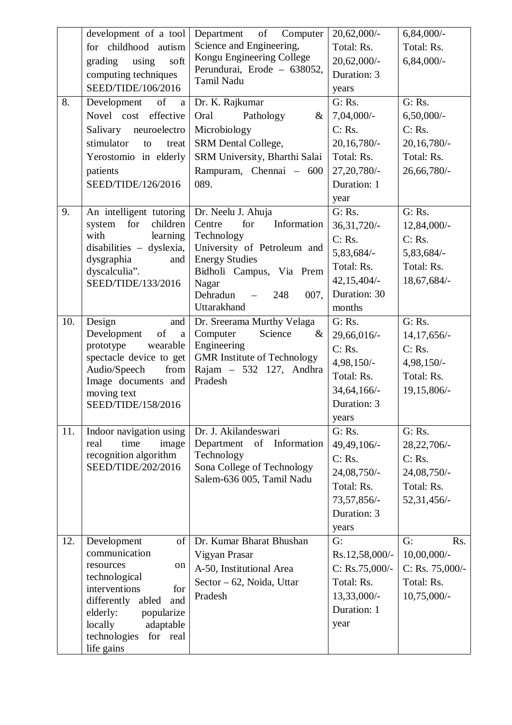| 8.  | development of a tool<br>for childhood autism<br>using<br>soft<br>grading<br>computing techniques<br>SEED/TIDE/106/2016<br>of<br>Development<br>a<br>Novel cost effective<br>Salivary<br>neuroelectro<br>stimulator<br>to<br>treat<br>Yerostomio in elderly | Department<br>of<br>Computer<br>Science and Engineering,<br>Kongu Engineering College<br>Perundurai, Erode - 638052,<br>Tamil Nadu<br>Dr. K. Rajkumar<br>Pathology<br>Oral<br>$\&$<br>Microbiology<br>SRM Dental College,<br>SRM University, Bharthi Salai | 20,62,000/-<br>Total: Rs.<br>20,62,000/-<br>Duration: 3<br>years<br>G: Rs.<br>$7,04,000/-$<br>C: Rs.<br>20, 16, 780/-<br>Total: Rs. | $6,84,000/-$<br>Total: Rs.<br>$6,84,000/-$<br>G: Rs.<br>$6,50,000/$ -<br>C: Rs.<br>20,16,780/<br>Total: Rs. |
|-----|-------------------------------------------------------------------------------------------------------------------------------------------------------------------------------------------------------------------------------------------------------------|------------------------------------------------------------------------------------------------------------------------------------------------------------------------------------------------------------------------------------------------------------|-------------------------------------------------------------------------------------------------------------------------------------|-------------------------------------------------------------------------------------------------------------|
|     | patients<br>SEED/TIDE/126/2016                                                                                                                                                                                                                              | Rampuram, Chennai - 600<br>089.                                                                                                                                                                                                                            | 27, 20, 780/-<br>Duration: 1<br>year                                                                                                | 26,66,780/-                                                                                                 |
| 9.  | An intelligent tutoring<br>for<br>children<br>system<br>with<br>learning<br>disabilities - dyslexia,<br>dysgraphia<br>and<br>dyscalculia".<br>SEED/TIDE/133/2016                                                                                            | Dr. Neelu J. Ahuja<br>Information<br>Centre<br>for<br>Technology<br>University of Petroleum and<br><b>Energy Studies</b><br>Bidholi Campus, Via Prem<br>Nagar<br>Dehradun<br>007,<br>248<br>$\overline{\phantom{a}}$<br>Uttarakhand                        | G: Rs.<br>36, 31, 720/-<br>C: Rs.<br>5,83,684/-<br>Total: Rs.<br>$42,15,404/-$<br>Duration: 30<br>months                            | G: Rs.<br>12,84,000/-<br>C: Rs.<br>5,83,684/-<br>Total: Rs.<br>18,67,684/-                                  |
| 10. | Design<br>and<br>of<br>Development<br>$\rm{a}$<br>prototype<br>wearable<br>spectacle device to get<br>Audio/Speech<br>from<br>Image documents and<br>moving text<br>SEED/TIDE/158/2016                                                                      | Dr. Sreerama Murthy Velaga<br>Computer<br>Science<br>&<br>Engineering<br><b>GMR</b> Institute of Technology<br>Rajam - 532 127, Andhra<br>Pradesh                                                                                                          | G: Rs.<br>29,66,016/-<br>C: Rs.<br>4,98,150/-<br>Total: Rs.<br>34, 64, 166/-<br>Duration: 3<br>years                                | G: Rs.<br>14, 17, 656/-<br>C: Rs.<br>$4,98,150/-$<br>Total: Rs.<br>19,15,806/-                              |
| 11. | Indoor navigation using<br>time<br>real<br>image<br>recognition algorithm<br>SEED/TIDE/202/2016                                                                                                                                                             | Dr. J. Akilandeswari<br>Department<br>of Information<br>Technology<br>Sona College of Technology<br>Salem-636 005, Tamil Nadu                                                                                                                              | G: Rs.<br>49,49,106/-<br>C: Rs.<br>24,08,750/-<br>Total: Rs.<br>73,57,856/-<br>Duration: 3<br>years                                 | G: Rs.<br>28, 22, 706/-<br>C: Rs.<br>24,08,750/-<br>Total: Rs.<br>52,31,456/-                               |
| 12. | Development<br>of<br>communication<br>resources<br>on<br>technological<br>interventions<br>for<br>differently<br>abled<br>and<br>elderly:<br>popularize<br>locally<br>adaptable<br>for real<br>technologies<br>life gains                                   | Dr. Kumar Bharat Bhushan<br>Vigyan Prasar<br>A-50, Institutional Area<br>Sector – 62, Noida, Uttar<br>Pradesh                                                                                                                                              | G:<br>Rs.12,58,000/-<br>$C: Rs.75,000/$ -<br>Total: Rs.<br>$13,33,000/-$<br>Duration: 1<br>year                                     | G:<br>Rs.<br>$10,00,000/$ -<br>C: Rs. $75,000/-$<br>Total: Rs.<br>$10,75,000/-$                             |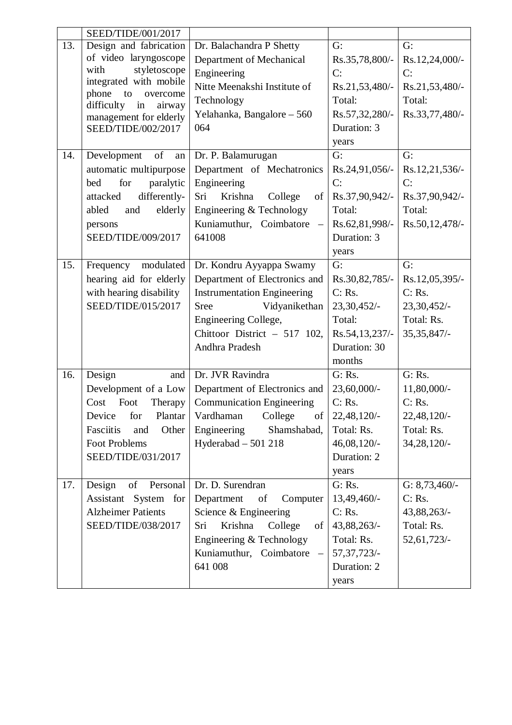|     | SEED/TIDE/001/2017                                    |                                                     |                |                 |
|-----|-------------------------------------------------------|-----------------------------------------------------|----------------|-----------------|
| 13. | Design and fabrication                                | Dr. Balachandra P Shetty                            | G:             | G:              |
|     | of video laryngoscope                                 | Department of Mechanical                            | Rs.35,78,800/- | Rs.12,24,000/-  |
|     | styletoscope<br>with                                  | Engineering                                         | C:             | C:              |
|     | integrated with mobile                                | Nitte Meenakshi Institute of                        | Rs.21,53,480/- | Rs.21,53,480/-  |
|     | phone<br>to<br>overcome<br>difficulty<br>in<br>airway | Technology                                          | Total:         | Total:          |
|     | management for elderly                                | Yelahanka, Bangalore - 560                          | Rs.57,32,280/- | Rs.33,77,480/-  |
|     | SEED/TIDE/002/2017                                    | 064                                                 | Duration: 3    |                 |
|     |                                                       |                                                     | years          |                 |
| 14. | of<br>Development<br>an                               | Dr. P. Balamurugan                                  | G:             | G:              |
|     | automatic multipurpose                                | Department of Mechatronics                          | Rs.24,91,056/- | Rs.12,21,536/-  |
|     | for<br>paralytic<br>bed                               | Engineering                                         | C:             | C:              |
|     | differently-<br>attacked                              | Sri<br>Krishna<br>College<br>of                     | Rs.37,90,942/- | Rs.37,90,942/-  |
|     | abled<br>elderly<br>and                               | Engineering & Technology                            | Total:         | Total:          |
|     | persons                                               | Kuniamuthur, Coimbatore<br>$\overline{\phantom{m}}$ | Rs.62,81,998/- | Rs.50,12,478/-  |
|     | SEED/TIDE/009/2017                                    | 641008                                              | Duration: 3    |                 |
|     |                                                       |                                                     | years          |                 |
| 15. | Frequency<br>modulated                                | Dr. Kondru Ayyappa Swamy                            | G:             | G:              |
|     | hearing aid for elderly                               | Department of Electronics and                       | Rs.30,82,785/- | Rs.12,05,395/-  |
|     | with hearing disability                               | <b>Instrumentation Engineering</b>                  | C: Rs.         | C: Rs.          |
|     | SEED/TIDE/015/2017                                    | <b>Sree</b><br>Vidyanikethan                        | 23,30,452/-    | 23,30,452/-     |
|     |                                                       | Engineering College,                                | Total:         | Total: Rs.      |
|     |                                                       | Chittoor District - 517 102,                        | Rs.54,13,237/- | 35, 35, 847/-   |
|     |                                                       | Andhra Pradesh                                      | Duration: 30   |                 |
|     |                                                       |                                                     | months         |                 |
| 16. | Design<br>and                                         | Dr. JVR Ravindra                                    | G: Rs.         | G: Rs.          |
|     | Development of a Low                                  | Department of Electronics and                       | 23,60,000/-    | 11,80,000/-     |
|     | Cost<br>Foot<br>Therapy                               | <b>Communication Engineering</b>                    | C: Rs.         | C: Rs.          |
|     | Device<br>for<br>Plantar                              | Vardhaman<br>College<br>οf                          | 22,48,120/-    | 22,48,120/-     |
|     | Fasciitis<br>and<br>Other                             | Engineering<br>Shamshabad,                          | Total: Rs.     | Total: Rs.      |
|     | <b>Foot Problems</b>                                  | Hyderabad $-501218$                                 | 46,08,120/-    | 34, 28, 120/-   |
|     | SEED/TIDE/031/2017                                    |                                                     | Duration: 2    |                 |
|     |                                                       |                                                     | years          |                 |
| 17. | Design<br>of<br>Personal                              | Dr. D. Surendran                                    | G: Rs.         | G: $8,73,460/-$ |
|     | Assistant System for                                  | Department<br>Computer<br>of                        | 13,49,460/-    | C: Rs.          |
|     | <b>Alzheimer Patients</b>                             | Science & Engineering                               | C: Rs.         | 43,88,263/-     |
|     | SEED/TIDE/038/2017                                    | College<br>Krishna<br>Sri<br>of                     | 43,88,263/-    | Total: Rs.      |
|     |                                                       | Engineering & Technology                            | Total: Rs.     | 52,61,723/-     |
|     |                                                       | Kuniamuthur, Coimbatore<br>$\overline{\phantom{0}}$ | 57, 37, 723/-  |                 |
|     |                                                       | 641 008                                             | Duration: 2    |                 |
|     |                                                       |                                                     | years          |                 |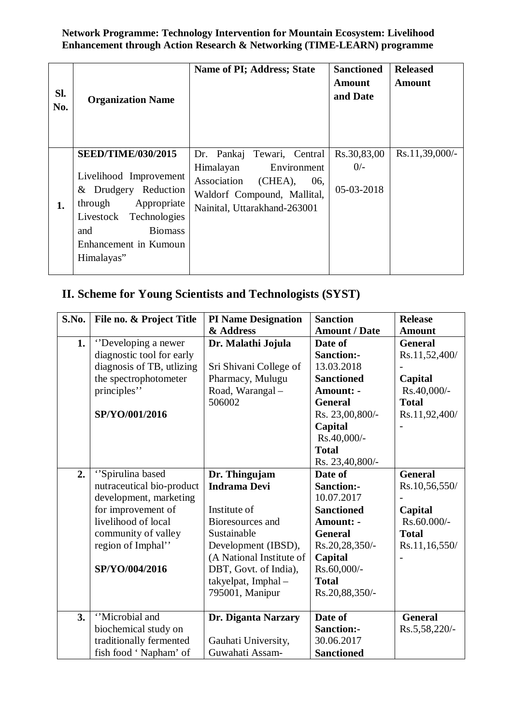**Network Programme: Technology Intervention for Mountain Ecosystem: Livelihood Enhancement through Action Research & Networking (TIME-LEARN) programme** 

| SI.<br>No. | <b>Organization Name</b>                                                                                                                                                                           | Name of PI; Address; State                                                                                                                             | <b>Sanctioned</b><br><b>Amount</b><br>and Date | <b>Released</b><br><b>Amount</b> |
|------------|----------------------------------------------------------------------------------------------------------------------------------------------------------------------------------------------------|--------------------------------------------------------------------------------------------------------------------------------------------------------|------------------------------------------------|----------------------------------|
| 1.         | <b>SEED/TIME/030/2015</b><br>Livelihood Improvement<br>& Drudgery Reduction<br>Appropriate<br>through<br>Livestock<br>Technologies<br><b>Biomass</b><br>and<br>Enhancement in Kumoun<br>Himalayas" | Dr. Pankaj Tewari, Central<br>Himalayan<br>Environment<br>Association<br>(CHEA),<br>06,<br>Waldorf Compound, Mallital,<br>Nainital, Uttarakhand-263001 | Rs.30,83,00<br>$0/-$<br>05-03-2018             | Rs.11,39,000/-                   |

## **II. Scheme for Young Scientists and Technologists (SYST)**

| S.No. | File no. & Project Title  | <b>PI Name Designation</b> | <b>Sanction</b>      | <b>Release</b> |
|-------|---------------------------|----------------------------|----------------------|----------------|
|       |                           | & Address                  | <b>Amount / Date</b> | <b>Amount</b>  |
| 1.    | "Developing a newer       | Dr. Malathi Jojula         | Date of              | <b>General</b> |
|       | diagnostic tool for early |                            | <b>Sanction:-</b>    | Rs.11,52,400/  |
|       | diagnosis of TB, utlizing | Sri Shivani College of     | 13.03.2018           |                |
|       | the spectrophotometer     | Pharmacy, Mulugu           | <b>Sanctioned</b>    | Capital        |
|       | principles"               | Road, Warangal-            | <b>Amount: -</b>     | Rs.40,000/-    |
|       |                           | 506002                     | <b>General</b>       | <b>Total</b>   |
|       | SP/YO/001/2016            |                            | Rs. 23,00,800/-      | Rs.11,92,400/  |
|       |                           |                            | Capital              |                |
|       |                           |                            | Rs.40,000/-          |                |
|       |                           |                            | <b>Total</b>         |                |
|       |                           |                            | Rs. 23,40,800/-      |                |
| 2.    | "Spirulina based          | Dr. Thingujam              | Date of              | <b>General</b> |
|       | nutraceutical bio-product | <b>Indrama Devi</b>        | <b>Sanction:-</b>    | Rs.10,56,550/  |
|       | development, marketing    |                            | 10.07.2017           |                |
|       | for improvement of        | Institute of               | <b>Sanctioned</b>    | Capital        |
|       | livelihood of local       | Bioresources and           | <b>Amount: -</b>     | Rs.60.000/-    |
|       | community of valley       | Sustainable                | <b>General</b>       | <b>Total</b>   |
|       | region of Imphal"         | Development (IBSD),        | Rs.20,28,350/-       | Rs.11,16,550/  |
|       |                           | (A National Institute of   | Capital              |                |
|       | SP/YO/004/2016            | DBT, Govt. of India),      | Rs.60,000/-          |                |
|       |                           | takyelpat, Imphal-         | <b>Total</b>         |                |
|       |                           | 795001, Manipur            | Rs.20,88,350/-       |                |
|       |                           |                            |                      |                |
| 3.    | "Microbial and            | Dr. Diganta Narzary        | Date of              | <b>General</b> |
|       | biochemical study on      |                            | <b>Sanction:-</b>    | Rs.5,58,220/-  |
|       | traditionally fermented   | Gauhati University,        | 30.06.2017           |                |
|       | fish food 'Napham' of     | Guwahati Assam-            | <b>Sanctioned</b>    |                |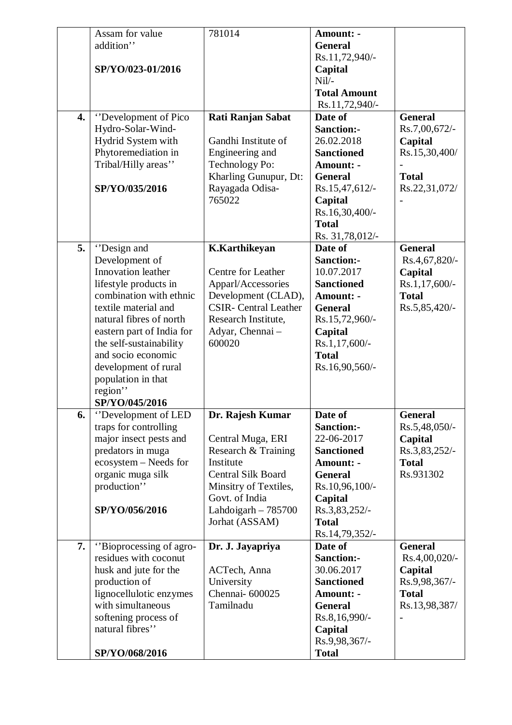| 4. | Assam for value<br>addition"<br>SP/YO/023-01/2016<br>"Development of Pico<br>Hydro-Solar-Wind-<br>Hydrid System with<br>Phytoremediation in<br>Tribal/Hilly areas"<br>SP/YO/035/2016                                                                                                                                | 781014<br>Rati Ranjan Sabat<br>Gandhi Institute of<br>Engineering and<br>Technology Po:<br>Kharling Gunupur, Dt:<br>Rayagada Odisa-<br>765022                                               | <b>Amount: -</b><br><b>General</b><br>Rs.11,72,940/-<br>Capital<br>$Nil/-$<br><b>Total Amount</b><br>Rs.11,72,940/-<br>Date of<br><b>Sanction:-</b><br>26.02.2018<br><b>Sanctioned</b><br>Amount: -<br><b>General</b><br>Rs.15,47,612/-<br>Capital<br>Rs.16,30,400/-<br><b>Total</b><br>Rs. 31,78,012/- | <b>General</b><br>Rs.7,00,672/-<br>Capital<br>Rs.15,30,400/<br><b>Total</b><br>Rs.22,31,072/ |
|----|---------------------------------------------------------------------------------------------------------------------------------------------------------------------------------------------------------------------------------------------------------------------------------------------------------------------|---------------------------------------------------------------------------------------------------------------------------------------------------------------------------------------------|---------------------------------------------------------------------------------------------------------------------------------------------------------------------------------------------------------------------------------------------------------------------------------------------------------|----------------------------------------------------------------------------------------------|
| 5. | "Design and<br>Development of<br>Innovation leather<br>lifestyle products in<br>combination with ethnic<br>textile material and<br>natural fibres of north<br>eastern part of India for<br>the self-sustainability<br>and socio economic<br>development of rural<br>population in that<br>region"<br>SP/YO/045/2016 | <b>K.Karthikeyan</b><br><b>Centre for Leather</b><br>Apparl/Accessories<br>Development (CLAD),<br><b>CSIR-</b> Central Leather<br>Research Institute,<br>Adyar, Chennai-<br>600020          | Date of<br><b>Sanction:-</b><br>10.07.2017<br><b>Sanctioned</b><br>Amount: -<br><b>General</b><br>Rs.15,72,960/-<br>Capital<br>$Rs.1,17,600/-$<br><b>Total</b><br>Rs.16,90,560/-                                                                                                                        | <b>General</b><br>Rs.4,67,820/-<br>Capital<br>Rs.1,17,600/-<br><b>Total</b><br>Rs.5,85,420/- |
| 6. | "Development of LED<br>traps for controlling<br>major insect pests and<br>predators in muga<br>ecosystem - Needs for<br>organic muga silk<br>production"<br>SP/YO/056/2016                                                                                                                                          | Dr. Rajesh Kumar<br>Central Muga, ERI<br>Research & Training<br>Institute<br><b>Central Silk Board</b><br>Minsitry of Textiles,<br>Govt. of India<br>Lahdoigarh $-785700$<br>Jorhat (ASSAM) | Date of<br><b>Sanction:-</b><br>22-06-2017<br><b>Sanctioned</b><br>Amount: -<br><b>General</b><br>Rs.10,96,100/-<br>Capital<br>Rs.3,83,252/-<br><b>Total</b><br>Rs.14,79,352/-                                                                                                                          | <b>General</b><br>Rs.5,48,050/-<br>Capital<br>Rs.3,83,252/-<br><b>Total</b><br>Rs.931302     |
| 7. | "Bioprocessing of agro-<br>residues with coconut<br>husk and jute for the<br>production of<br>lignocellulotic enzymes<br>with simultaneous<br>softening process of<br>natural fibres"<br>SP/YO/068/2016                                                                                                             | Dr. J. Jayapriya<br>ACTech, Anna<br>University<br>Chennai-600025<br>Tamilnadu                                                                                                               | Date of<br><b>Sanction:-</b><br>30.06.2017<br><b>Sanctioned</b><br><b>Amount: -</b><br><b>General</b><br>Rs.8,16,990/-<br>Capital<br>Rs.9,98,367/-<br><b>Total</b>                                                                                                                                      | <b>General</b><br>Rs.4,00,020/-<br>Capital<br>Rs.9,98,367/-<br><b>Total</b><br>Rs.13,98,387/ |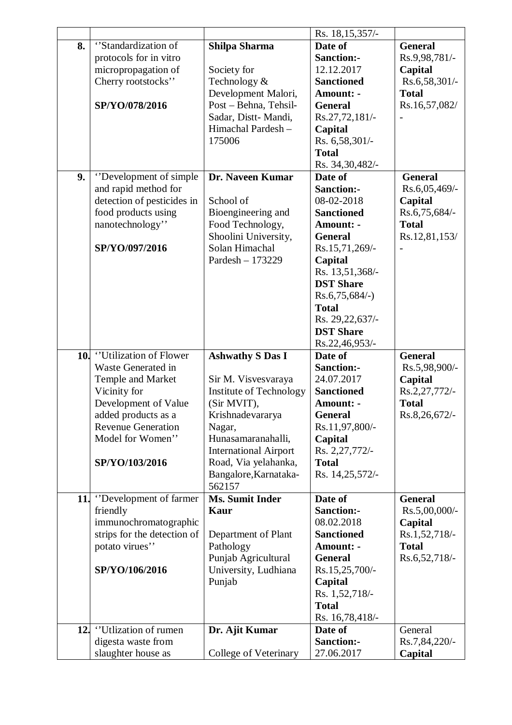|    |                             |                              | Rs. 18, 15, 357/- |                  |
|----|-----------------------------|------------------------------|-------------------|------------------|
| 8. | "Standardization of         | Shilpa Sharma                | Date of           | <b>General</b>   |
|    | protocols for in vitro      |                              | <b>Sanction:-</b> | Rs.9,98,781/-    |
|    | micropropagation of         | Society for                  | 12.12.2017        | Capital          |
|    | Cherry rootstocks"          | Technology &                 | <b>Sanctioned</b> | Rs.6,58,301/-    |
|    |                             | Development Malori,          | Amount: -         | <b>Total</b>     |
|    | SP/YO/078/2016              | Post - Behna, Tehsil-        | <b>General</b>    | Rs.16,57,082/    |
|    |                             | Sadar, Distt-Mandi,          | Rs.27,72,181/-    |                  |
|    |                             | Himachal Pardesh-            | Capital           |                  |
|    |                             | 175006                       | Rs. 6,58,301/-    |                  |
|    |                             |                              | <b>Total</b>      |                  |
|    |                             |                              |                   |                  |
|    |                             |                              | Rs. 34,30,482/-   |                  |
| 9. | "Development of simple      | Dr. Naveen Kumar             | Date of           | <b>General</b>   |
|    | and rapid method for        |                              | <b>Sanction:-</b> | Rs.6,05,469/-    |
|    | detection of pesticides in  | School of                    | 08-02-2018        | Capital          |
|    | food products using         | Bioengineering and           | <b>Sanctioned</b> | Rs.6,75,684/-    |
|    | nanotechnology"             | Food Technology,             | <b>Amount: -</b>  | <b>Total</b>     |
|    |                             | Shoolini University,         | <b>General</b>    | Rs.12,81,153/    |
|    | SP/YO/097/2016              | Solan Himachal               | Rs.15,71,269/-    |                  |
|    |                             | Pardesh - 173229             | Capital           |                  |
|    |                             |                              | Rs. 13,51,368/-   |                  |
|    |                             |                              | <b>DST Share</b>  |                  |
|    |                             |                              | $Rs.6,75,684/-$   |                  |
|    |                             |                              | <b>Total</b>      |                  |
|    |                             |                              | Rs. 29, 22, 637/- |                  |
|    |                             |                              |                   |                  |
|    |                             |                              | <b>DST Share</b>  |                  |
|    |                             |                              | Rs.22,46,953/-    |                  |
|    | 10. "Utilization of Flower  | <b>Ashwathy S Das I</b>      | Date of           | <b>General</b>   |
|    | Waste Generated in          |                              | Sanction:-        | Rs.5,98,900/-    |
|    | Temple and Market           | Sir M. Visvesvaraya          | 24.07.2017        | Capital          |
|    | Vicinity for                | Institute of Technology      | <b>Sanctioned</b> | Rs.2,27,772/-    |
|    | Development of Value        | (Sir MVIT),                  | Amount: -         | <b>Total</b>     |
|    | added products as a         | Krishnadevararya             | General           | Rs.8,26,672/-    |
|    | <b>Revenue Generation</b>   | Nagar,                       | Rs.11,97,800/-    |                  |
|    | Model for Women"            | Hunasamaranahalli,           | Capital           |                  |
|    |                             | <b>International Airport</b> | Rs. 2,27,772/-    |                  |
|    | SP/YO/103/2016              | Road, Via yelahanka,         | <b>Total</b>      |                  |
|    |                             | Bangalore, Karnataka-        | Rs. 14,25,572/-   |                  |
|    |                             | 562157                       |                   |                  |
|    | 11. "Development of farmer" | <b>Ms. Sumit Inder</b>       | Date of           | <b>General</b>   |
|    | friendly                    | Kaur                         | Sanction:-        | $Rs.5,00,000/$ - |
|    | immunochromatographic       |                              | 08.02.2018        | Capital          |
|    | strips for the detection of | Department of Plant          | <b>Sanctioned</b> | Rs.1,52,718/-    |
|    | potato virues"              | Pathology                    | Amount: -         | <b>Total</b>     |
|    |                             | Punjab Agricultural          | <b>General</b>    | Rs.6,52,718/-    |
|    | SP/YO/106/2016              | University, Ludhiana         | Rs.15,25,700/-    |                  |
|    |                             |                              |                   |                  |
|    |                             | Punjab                       | Capital           |                  |
|    |                             |                              | Rs. 1,52,718/-    |                  |
|    |                             |                              | <b>Total</b>      |                  |
|    |                             |                              | Rs. 16,78,418/-   |                  |
|    | 12. "Utlization of rumen"   | Dr. Ajit Kumar               | Date of           | General          |
|    | digesta waste from          |                              | Sanction:-        | Rs.7,84,220/-    |
|    | slaughter house as          | College of Veterinary        | 27.06.2017        | Capital          |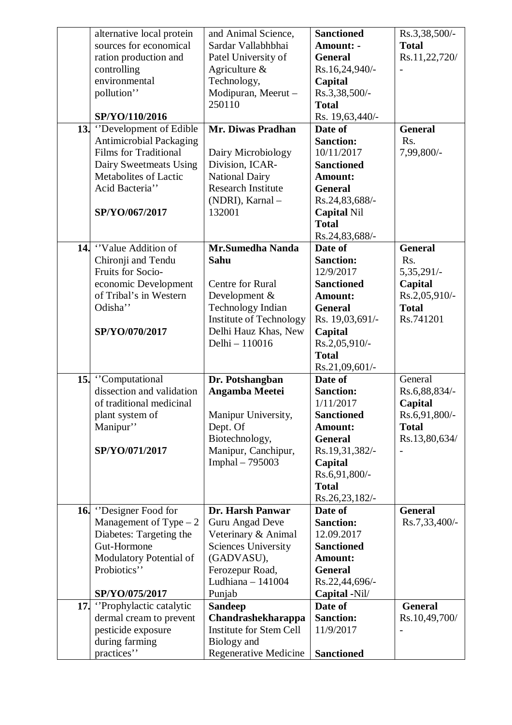| alternative local protein                       | and Animal Science,                         | <b>Sanctioned</b>                | Rs.3,38,500/-  |
|-------------------------------------------------|---------------------------------------------|----------------------------------|----------------|
| sources for economical                          | Sardar Vallabhbhai                          | Amount: -                        | <b>Total</b>   |
| ration production and                           | Patel University of                         | <b>General</b>                   | Rs.11,22,720/  |
| controlling                                     | Agriculture $\&$                            | Rs.16,24,940/-                   |                |
| environmental                                   | Technology,                                 | Capital                          |                |
| pollution"                                      | Modipuran, Meerut-                          | Rs.3,38,500/-                    |                |
|                                                 | 250110                                      | <b>Total</b>                     |                |
| SP/YO/110/2016                                  |                                             | Rs. 19,63,440/-                  |                |
| 13. "Development of Edible"                     | Mr. Diwas Pradhan                           | Date of                          | <b>General</b> |
| <b>Antimicrobial Packaging</b>                  |                                             | <b>Sanction:</b>                 | Rs.            |
| <b>Films for Traditional</b>                    | Dairy Microbiology                          | 10/11/2017                       | 7,99,800/-     |
|                                                 | Division, ICAR-                             | <b>Sanctioned</b>                |                |
| Dairy Sweetmeats Using<br>Metabolites of Lactic |                                             |                                  |                |
|                                                 | National Dairy<br><b>Research Institute</b> | Amount:                          |                |
| Acid Bacteria"                                  |                                             | <b>General</b>                   |                |
|                                                 | (NDRI), Karnal -                            | Rs.24,83,688/-                   |                |
| SP/YO/067/2017                                  | 132001                                      | <b>Capital Nil</b>               |                |
|                                                 |                                             | <b>Total</b>                     |                |
|                                                 |                                             | Rs.24,83,688/-                   |                |
| 14. "Value Addition of                          | <b>Mr.Sumedha Nanda</b>                     | Date of                          | <b>General</b> |
| Chironji and Tendu                              | Sahu                                        | <b>Sanction:</b>                 | Rs.            |
| Fruits for Socio-                               |                                             | 12/9/2017                        | 5, 35, 291/-   |
| economic Development                            | Centre for Rural                            | <b>Sanctioned</b>                | Capital        |
| of Tribal's in Western                          | Development &                               | Amount:                          | Rs.2,05,910/-  |
| Odisha"                                         | Technology Indian                           | <b>General</b>                   | <b>Total</b>   |
|                                                 | Institute of Technology                     | Rs. 19,03,691/-                  | Rs.741201      |
| SP/YO/070/2017                                  | Delhi Hauz Khas, New                        | Capital                          |                |
|                                                 | Delhi - 110016                              | Rs.2,05,910/-                    |                |
|                                                 |                                             | <b>Total</b>                     |                |
|                                                 |                                             | Rs.21,09,601/-                   |                |
| 15. Computational                               | Dr. Potshangban                             | Date of                          | General        |
| dissection and validation                       | Angamba Meetei                              | <b>Sanction:</b>                 | Rs.6,88,834/-  |
| of traditional medicinal                        |                                             | 1/11/2017                        | Capital        |
| plant system of                                 | Manipur University,                         | <b>Sanctioned</b>                | Rs.6,91,800/-  |
| Manipur"                                        | Dept. Of                                    | <b>Amount:</b>                   | <b>Total</b>   |
|                                                 | Biotechnology,                              | <b>General</b>                   | Rs.13,80,634/  |
| SP/YO/071/2017                                  | Manipur, Canchipur,                         | Rs.19,31,382/-                   |                |
|                                                 | Imphal - 795003                             | Capital                          |                |
|                                                 |                                             | Rs.6,91,800/-                    |                |
|                                                 |                                             | <b>Total</b>                     |                |
|                                                 |                                             | Rs.26,23,182/-                   |                |
| <b>16.</b> "Designer Food for                   | Dr. Harsh Panwar                            | Date of                          | <b>General</b> |
| Management of Type $-2$                         | Guru Angad Deve                             | <b>Sanction:</b>                 | Rs.7,33,400/-  |
| Diabetes: Targeting the                         | Veterinary & Animal                         | 12.09.2017                       |                |
| Gut-Hormone                                     | <b>Sciences University</b>                  | <b>Sanctioned</b>                |                |
| Modulatory Potential of                         | (GADVASU),                                  | Amount:                          |                |
| Probiotics"                                     |                                             |                                  |                |
|                                                 | Ferozepur Road,<br>Ludhiana $-141004$       | <b>General</b><br>Rs.22,44,696/- |                |
|                                                 |                                             |                                  |                |
| SP/YO/075/2017                                  | Punjab                                      | Capital -Nil/                    |                |
| 17. Prophylactic catalytic                      | <b>Sandeep</b>                              | Date of                          | <b>General</b> |
| dermal cream to prevent                         | Chandrashekharappa                          | <b>Sanction:</b>                 | Rs.10,49,700/  |
| pesticide exposure                              | <b>Institute for Stem Cell</b>              | 11/9/2017                        |                |
| during farming                                  | Biology and                                 |                                  |                |
| practices"                                      | <b>Regenerative Medicine</b>                | <b>Sanctioned</b>                |                |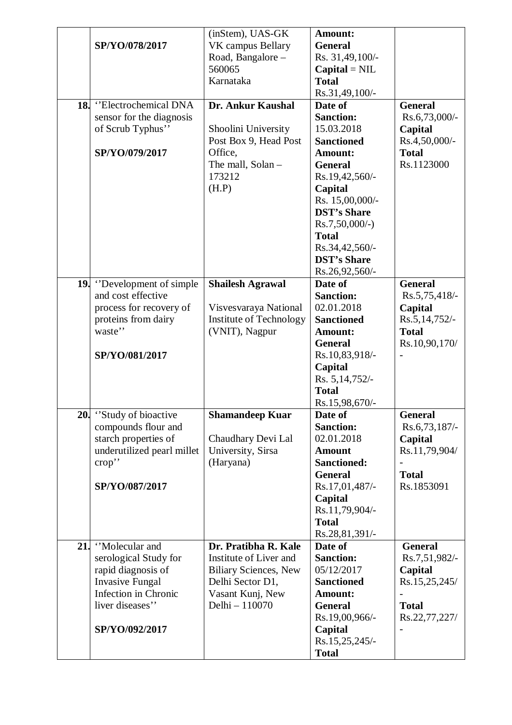|     |                                     | (inStem), UAS-GK                        | Amount:                          |                 |
|-----|-------------------------------------|-----------------------------------------|----------------------------------|-----------------|
|     | SP/YO/078/2017                      | VK campus Bellary                       | <b>General</b>                   |                 |
|     |                                     | Road, Bangalore-                        | Rs. 31,49,100/-                  |                 |
|     |                                     | 560065                                  | $Capital = NIL$                  |                 |
|     |                                     | Karnataka                               | <b>Total</b>                     |                 |
|     |                                     |                                         | Rs.31,49,100/-                   |                 |
|     | 18. "Electrochemical DNA            | Dr. Ankur Kaushal                       | Date of                          | <b>General</b>  |
|     | sensor for the diagnosis            |                                         | <b>Sanction:</b>                 | Rs.6,73,000/-   |
|     | of Scrub Typhus"                    | Shoolini University                     | 15.03.2018                       | Capital         |
|     |                                     | Post Box 9, Head Post                   | <b>Sanctioned</b>                | Rs.4,50,000/-   |
|     | SP/YO/079/2017                      | Office,                                 | Amount:                          | <b>Total</b>    |
|     |                                     | The mall, Solan -                       | <b>General</b>                   | Rs.1123000      |
|     |                                     | 173212                                  | Rs.19,42,560/-                   |                 |
|     |                                     | (H.P)                                   | Capital                          |                 |
|     |                                     |                                         | Rs. 15,00,000/-                  |                 |
|     |                                     |                                         | <b>DST's Share</b>               |                 |
|     |                                     |                                         | $Rs.7,50,000/-$ )                |                 |
|     |                                     |                                         | <b>Total</b>                     |                 |
|     |                                     |                                         | Rs.34,42,560/-                   |                 |
|     |                                     |                                         | <b>DST's Share</b>               |                 |
|     |                                     |                                         | Rs.26,92,560/-                   |                 |
|     | <b>19.</b> "Development of simple"  | <b>Shailesh Agrawal</b>                 | Date of                          | <b>General</b>  |
|     | and cost effective                  |                                         | <b>Sanction:</b>                 | Rs.5,75,418/-   |
|     | process for recovery of             | Visvesvaraya National                   | 02.01.2018                       | Capital         |
|     | proteins from dairy                 | Institute of Technology                 | <b>Sanctioned</b>                | Rs.5, 14, 752/- |
|     | waste"                              | (VNIT), Nagpur                          | Amount:                          | <b>Total</b>    |
|     |                                     |                                         | <b>General</b>                   | Rs.10,90,170/   |
|     | SP/YO/081/2017                      |                                         | Rs.10,83,918/-                   |                 |
|     |                                     |                                         |                                  | $\overline{a}$  |
|     |                                     |                                         | Capital                          |                 |
|     |                                     |                                         | Rs. 5, 14, 752/-<br><b>Total</b> |                 |
|     |                                     |                                         |                                  |                 |
|     | 20. "Study of bioactive"            | <b>Shamandeep Kuar</b>                  | Rs.15,98,670/-<br>Date of        | <b>General</b>  |
|     |                                     |                                         | <b>Sanction:</b>                 | Rs.6,73,187/-   |
|     | compounds flour and                 |                                         | 02.01.2018                       | Capital         |
|     | starch properties of                | Chaudhary Devi Lal<br>University, Sirsa | <b>Amount</b>                    | Rs.11,79,904/   |
|     | underutilized pearl millet<br>crop" | (Haryana)                               | <b>Sanctioned:</b>               |                 |
|     |                                     |                                         | <b>General</b>                   | <b>Total</b>    |
|     |                                     |                                         |                                  |                 |
|     | SP/YO/087/2017                      |                                         | Rs.17,01,487/-                   | Rs.1853091      |
|     |                                     |                                         | Capital                          |                 |
|     |                                     |                                         | Rs.11,79,904/-                   |                 |
|     |                                     |                                         | <b>Total</b>                     |                 |
|     |                                     |                                         | Rs.28,81,391/-                   |                 |
| 21. | "Molecular and                      | Dr. Pratibha R. Kale                    | Date of                          | <b>General</b>  |
|     | serological Study for               | Institute of Liver and                  | <b>Sanction:</b>                 | Rs.7,51,982/-   |
|     | rapid diagnosis of                  | <b>Biliary Sciences, New</b>            | 05/12/2017                       | Capital         |
|     | <b>Invasive Fungal</b>              | Delhi Sector D1,                        | <b>Sanctioned</b>                | Rs.15,25,245/   |
|     | Infection in Chronic                | Vasant Kunj, New                        | Amount:                          |                 |
|     | liver diseases"                     | Delhi - 110070                          | <b>General</b>                   | <b>Total</b>    |
|     |                                     |                                         | Rs.19,00,966/-                   | Rs.22,77,227/   |
|     | SP/YO/092/2017                      |                                         | Capital                          |                 |
|     |                                     |                                         | Rs.15,25,245/-                   |                 |
|     |                                     |                                         | <b>Total</b>                     |                 |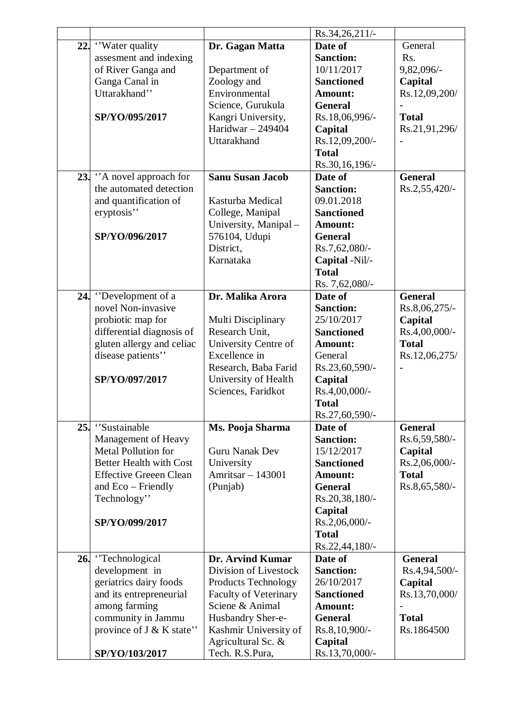|                                                                                                                                                                                                                        |                                                                                                                                                                                                                     | Rs.34,26,211/-                                                                                                                                                                                                                                 |                                                                                                                              |
|------------------------------------------------------------------------------------------------------------------------------------------------------------------------------------------------------------------------|---------------------------------------------------------------------------------------------------------------------------------------------------------------------------------------------------------------------|------------------------------------------------------------------------------------------------------------------------------------------------------------------------------------------------------------------------------------------------|------------------------------------------------------------------------------------------------------------------------------|
| 22. "Water quality"<br>assesment and indexing<br>of River Ganga and<br>Ganga Canal in<br>Uttarakhand"<br>SP/YO/095/2017<br>23. "A novel approach for<br>the automated detection<br>and quantification of<br>eryptosis" | Dr. Gagan Matta<br>Department of<br>Zoology and<br>Environmental<br>Science, Gurukula<br>Kangri University,<br>Haridwar $-249404$<br>Uttarakhand<br><b>Sanu Susan Jacob</b><br>Kasturba Medical<br>College, Manipal | Date of<br><b>Sanction:</b><br>10/11/2017<br><b>Sanctioned</b><br>Amount:<br><b>General</b><br>Rs.18,06,996/-<br>Capital<br>Rs.12,09,200/-<br><b>Total</b><br>Rs.30,16,196/-<br>Date of<br><b>Sanction:</b><br>09.01.2018<br><b>Sanctioned</b> | General<br>Rs.<br>9,82,096/-<br>Capital<br>Rs.12,09,200/<br><b>Total</b><br>Rs.21,91,296/<br><b>General</b><br>Rs.2,55,420/- |
| SP/YO/096/2017                                                                                                                                                                                                         | University, Manipal-<br>576104, Udupi<br>District,<br>Karnataka                                                                                                                                                     | Amount:<br><b>General</b><br>Rs.7,62,080/-<br>Capital -Nil/-<br><b>Total</b><br>Rs. 7,62,080/-                                                                                                                                                 |                                                                                                                              |
| 24. "Development of a<br>novel Non-invasive<br>probiotic map for<br>differential diagnosis of<br>gluten allergy and celiac<br>disease patients"<br>SP/YO/097/2017                                                      | Dr. Malika Arora<br>Multi Disciplinary<br>Research Unit,<br>University Centre of<br>Excellence in<br>Research, Baba Farid<br>University of Health<br>Sciences, Faridkot                                             | Date of<br><b>Sanction:</b><br>25/10/2017<br><b>Sanctioned</b><br><b>Amount:</b><br>General<br>Rs.23,60,590/-<br>Capital<br>Rs.4,00,000/-<br><b>Total</b><br>Rs.27,60,590/-                                                                    | <b>General</b><br>Rs.8,06,275/-<br>Capital<br>Rs.4,00,000/-<br><b>Total</b><br>Rs.12,06,275/                                 |
| 25. 'Sustainable<br>Management of Heavy<br><b>Metal Pollution for</b><br><b>Better Health with Cost</b><br><b>Effective Greeen Clean</b><br>and Eco – Friendly<br>Technology"<br>SP/YO/099/2017                        | Ms. Pooja Sharma<br>Guru Nanak Dev<br>University<br>Amritsar - 143001<br>(Punjab)                                                                                                                                   | Date of<br><b>Sanction:</b><br>15/12/2017<br><b>Sanctioned</b><br><b>Amount:</b><br><b>General</b><br>Rs.20,38,180/-<br>Capital<br>Rs.2,06,000/-<br><b>Total</b><br>Rs.22,44,180/-                                                             | <b>General</b><br>Rs.6,59,580/-<br>Capital<br>Rs.2,06,000/-<br><b>Total</b><br>Rs.8,65,580/-                                 |
| 26. Technological<br>development in<br>geriatrics dairy foods<br>and its entrepreneurial<br>among farming<br>community in Jammu<br>province of J & K state"<br>SP/YO/103/2017                                          | Dr. Arvind Kumar<br>Division of Livestock<br><b>Products Technology</b><br><b>Faculty of Veterinary</b><br>Sciene & Animal<br>Husbandry Sher-e-<br>Kashmir University of<br>Agricultural Sc. &<br>Tech. R.S.Pura,   | Date of<br><b>Sanction:</b><br>26/10/2017<br><b>Sanctioned</b><br><b>Amount:</b><br><b>General</b><br>Rs.8,10,900/-<br>Capital<br>Rs.13,70,000/-                                                                                               | <b>General</b><br>Rs.4,94,500/-<br>Capital<br>Rs.13,70,000/<br><b>Total</b><br>Rs.1864500                                    |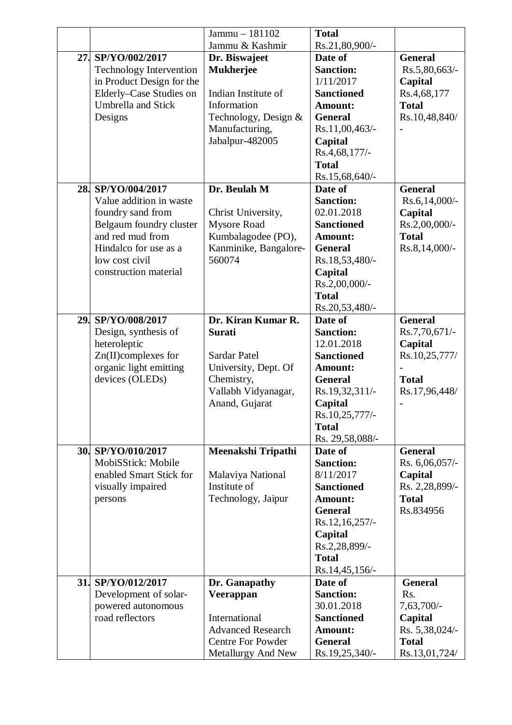|     |                                | Jammu - 181102           | <b>Total</b>      |                |
|-----|--------------------------------|--------------------------|-------------------|----------------|
|     |                                | Jammu & Kashmir          | Rs.21,80,900/-    |                |
| 27. | SP/YO/002/2017                 | Dr. Biswajeet            | Date of           | <b>General</b> |
|     | <b>Technology Intervention</b> | <b>Mukherjee</b>         | <b>Sanction:</b>  | Rs.5,80,663/-  |
|     | in Product Design for the      |                          | 1/11/2017         | Capital        |
|     | Elderly-Case Studies on        | Indian Institute of      | <b>Sanctioned</b> | Rs.4,68,177    |
|     | <b>Umbrella and Stick</b>      | Information              | Amount:           | <b>Total</b>   |
|     | Designs                        | Technology, Design &     | <b>General</b>    | Rs.10,48,840/  |
|     |                                | Manufacturing,           | Rs.11,00,463/-    |                |
|     |                                | Jabalpur-482005          | Capital           |                |
|     |                                |                          | Rs.4,68,177/-     |                |
|     |                                |                          | <b>Total</b>      |                |
|     |                                |                          | Rs.15,68,640/-    |                |
|     | 28. SP/YO/004/2017             | Dr. Beulah M             | Date of           | <b>General</b> |
|     | Value addition in waste        |                          | <b>Sanction:</b>  | Rs.6,14,000/-  |
|     | foundry sand from              | Christ University,       | 02.01.2018        | Capital        |
|     | Belgaum foundry cluster        | <b>Mysore Road</b>       | <b>Sanctioned</b> | Rs.2,00,000/-  |
|     | and red mud from               | Kumbalagodee (PO),       | Amount:           | <b>Total</b>   |
|     | Hindalco for use as a          | Kanminike, Bangalore-    | <b>General</b>    | Rs.8,14,000/-  |
|     | low cost civil                 | 560074                   | Rs.18,53,480/-    |                |
|     | construction material          |                          | Capital           |                |
|     |                                |                          | Rs.2,00,000/-     |                |
|     |                                |                          | <b>Total</b>      |                |
|     |                                |                          | Rs.20,53,480/-    |                |
|     | 29. SP/YO/008/2017             | Dr. Kiran Kumar R.       | Date of           | <b>General</b> |
|     | Design, synthesis of           | <b>Surati</b>            | <b>Sanction:</b>  | Rs.7,70,671/-  |
|     | heteroleptic                   |                          | 12.01.2018        | Capital        |
|     | Zn(II)complexes for            | Sardar Patel             | <b>Sanctioned</b> | Rs.10,25,777/  |
|     | organic light emitting         | University, Dept. Of     | <b>Amount:</b>    |                |
|     |                                | Chemistry,               | <b>General</b>    | <b>Total</b>   |
|     | devices (OLEDs)                |                          | Rs.19,32,311/-    | Rs.17,96,448/  |
|     |                                | Vallabh Vidyanagar,      |                   |                |
|     |                                | Anand, Gujarat           | Capital           |                |
|     |                                |                          | Rs.10,25,777/-    |                |
|     |                                |                          | <b>Total</b>      |                |
|     | 30. SP/YO/010/2017             |                          | Rs. 29,58,088/-   |                |
|     |                                | Meenakshi Tripathi       | Date of           | <b>General</b> |
|     | MobiSStick: Mobile             |                          | <b>Sanction:</b>  | Rs. 6,06,057/- |
|     | enabled Smart Stick for        | Malaviya National        | 8/11/2017         | Capital        |
|     | visually impaired              | Institute of             | <b>Sanctioned</b> | Rs. 2,28,899/- |
|     | persons                        | Technology, Jaipur       | <b>Amount:</b>    | <b>Total</b>   |
|     |                                |                          | <b>General</b>    | Rs.834956      |
|     |                                |                          | Rs.12,16,257/-    |                |
|     |                                |                          | Capital           |                |
|     |                                |                          | Rs.2,28,899/-     |                |
|     |                                |                          | <b>Total</b>      |                |
|     |                                |                          | Rs.14,45,156/-    |                |
|     | 31. SP/YO/012/2017             | Dr. Ganapathy            | Date of           | <b>General</b> |
|     | Development of solar-          | Veerappan                | <b>Sanction:</b>  | Rs.            |
|     | powered autonomous             |                          | 30.01.2018        | 7,63,700/-     |
|     | road reflectors                | International            | <b>Sanctioned</b> | Capital        |
|     |                                | <b>Advanced Research</b> | Amount:           | Rs. 5,38,024/- |
|     |                                | <b>Centre For Powder</b> | <b>General</b>    | <b>Total</b>   |
|     |                                | Metallurgy And New       | Rs.19,25,340/-    | Rs.13,01,724/  |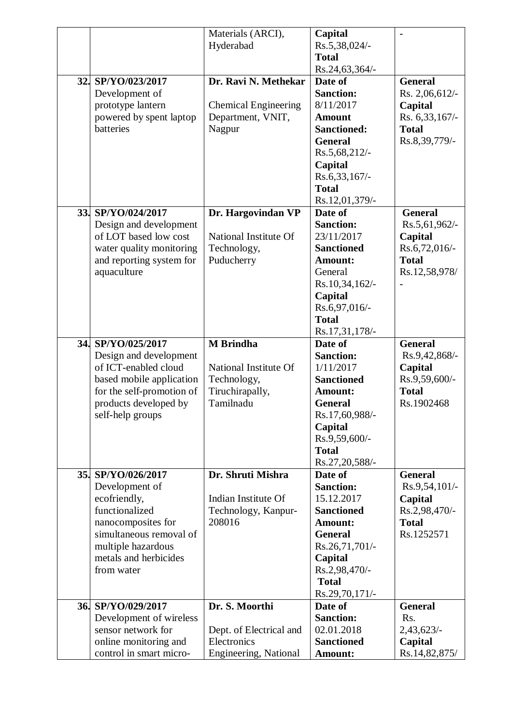|                           | Materials (ARCI),           | Capital            |                  |
|---------------------------|-----------------------------|--------------------|------------------|
|                           | Hyderabad                   | Rs.5,38,024/-      |                  |
|                           |                             | <b>Total</b>       |                  |
|                           |                             | Rs.24,63,364/-     |                  |
| 32. SP/YO/023/2017        | Dr. Ravi N. Methekar        | Date of            | <b>General</b>   |
| Development of            |                             | <b>Sanction:</b>   | Rs. 2,06,612/-   |
| prototype lantern         | <b>Chemical Engineering</b> | 8/11/2017          | Capital          |
| powered by spent laptop   | Department, VNIT,           | <b>Amount</b>      | Rs. 6,33,167/-   |
| batteries                 | Nagpur                      | <b>Sanctioned:</b> | <b>Total</b>     |
|                           |                             | <b>General</b>     | Rs.8,39,779/-    |
|                           |                             | Rs.5,68,212/-      |                  |
|                           |                             |                    |                  |
|                           |                             | Capital            |                  |
|                           |                             | $Rs.6,33,167/$ -   |                  |
|                           |                             | <b>Total</b>       |                  |
|                           |                             | Rs.12,01,379/-     |                  |
| 33. SP/YO/024/2017        | Dr. Hargovindan VP          | Date of            | <b>General</b>   |
| Design and development    |                             | <b>Sanction:</b>   | Rs.5,61,962/-    |
| of LOT based low cost     | National Institute Of       | 23/11/2017         | Capital          |
| water quality monitoring  | Technology,                 | <b>Sanctioned</b>  | $Rs.6,72,016/$ - |
| and reporting system for  | Puducherry                  | Amount:            | <b>Total</b>     |
| aquaculture               |                             | General            | Rs.12,58,978/    |
|                           |                             | Rs.10,34,162/-     |                  |
|                           |                             | Capital            |                  |
|                           |                             | Rs.6,97,016/-      |                  |
|                           |                             | <b>Total</b>       |                  |
|                           |                             | Rs.17,31,178/-     |                  |
| 34. SP/YO/025/2017        | <b>M</b> Brindha            | Date of            | <b>General</b>   |
| Design and development    |                             | <b>Sanction:</b>   | Rs.9,42,868/-    |
| of ICT-enabled cloud      | National Institute Of       | 1/11/2017          | Capital          |
| based mobile application  | Technology,                 | <b>Sanctioned</b>  | Rs.9,59,600/-    |
| for the self-promotion of | Tiruchirapally,             | Amount:            | <b>Total</b>     |
| products developed by     | Tamilnadu                   | <b>General</b>     | Rs.1902468       |
| self-help groups          |                             | Rs.17,60,988/-     |                  |
|                           |                             | Capital            |                  |
|                           |                             | Rs.9,59,600/-      |                  |
|                           |                             | <b>Total</b>       |                  |
|                           |                             | Rs.27,20,588/-     |                  |
| 35. SP/YO/026/2017        | Dr. Shruti Mishra           | Date of            | <b>General</b>   |
| Development of            |                             | <b>Sanction:</b>   | Rs.9,54,101/-    |
| ecofriendly,              | Indian Institute Of         | 15.12.2017         | Capital          |
| functionalized            | Technology, Kanpur-         | <b>Sanctioned</b>  | Rs.2,98,470/-    |
|                           | 208016                      | <b>Amount:</b>     | <b>Total</b>     |
| nanocomposites for        |                             |                    | Rs.1252571       |
| simultaneous removal of   |                             | <b>General</b>     |                  |
| multiple hazardous        |                             | Rs.26,71,701/-     |                  |
| metals and herbicides     |                             | Capital            |                  |
| from water                |                             | Rs.2,98,470/-      |                  |
|                           |                             | <b>Total</b>       |                  |
|                           |                             | Rs.29,70,171/-     |                  |
| 36. SP/YO/029/2017        | Dr. S. Moorthi              | Date of            | <b>General</b>   |
| Development of wireless   |                             | <b>Sanction:</b>   | Rs.              |
| sensor network for        | Dept. of Electrical and     | 02.01.2018         | 2,43,623/        |
| online monitoring and     | Electronics                 | <b>Sanctioned</b>  | Capital          |
| control in smart micro-   | Engineering, National       | Amount:            | Rs.14,82,875/    |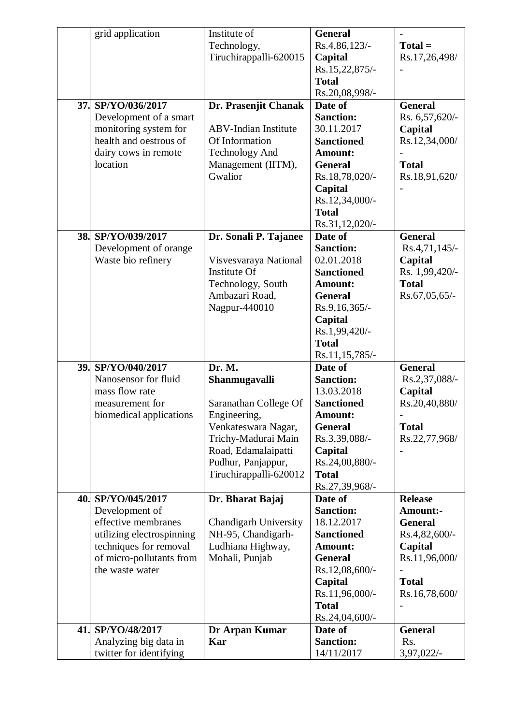| 37. | grid application<br>SP/YO/036/2017<br>Development of a smart                                                                                                      | Institute of<br>Technology,<br>Tiruchirappalli-620015<br>Dr. Prasenjit Chanak                                                                                                         | <b>General</b><br>Rs.4,86,123/-<br>Capital<br>Rs.15,22,875/-<br><b>Total</b><br>Rs.20,08,998/-<br>Date of<br><b>Sanction:</b>                                                | $Total =$<br>Rs.17,26,498/<br><b>General</b><br>Rs. 6,57,620/-                                                                    |
|-----|-------------------------------------------------------------------------------------------------------------------------------------------------------------------|---------------------------------------------------------------------------------------------------------------------------------------------------------------------------------------|------------------------------------------------------------------------------------------------------------------------------------------------------------------------------|-----------------------------------------------------------------------------------------------------------------------------------|
|     | monitoring system for<br>health and oestrous of<br>dairy cows in remote<br>location                                                                               | <b>ABV-Indian Institute</b><br>Of Information<br><b>Technology And</b><br>Management (IITM),<br>Gwalior                                                                               | 30.11.2017<br><b>Sanctioned</b><br>Amount:<br><b>General</b><br>Rs.18,78,020/-<br>Capital<br>Rs.12,34,000/-<br><b>Total</b><br>Rs.31,12,020/-                                | Capital<br>Rs.12,34,000/<br><b>Total</b><br>Rs.18,91,620/                                                                         |
|     | 38. SP/YO/039/2017<br>Development of orange<br>Waste bio refinery                                                                                                 | Dr. Sonali P. Tajanee<br>Visvesvaraya National<br><b>Institute Of</b><br>Technology, South<br>Ambazari Road,<br>Nagpur-440010                                                         | Date of<br><b>Sanction:</b><br>02.01.2018<br><b>Sanctioned</b><br>Amount:<br><b>General</b><br>Rs.9,16,365/-<br>Capital<br>Rs.1,99,420/-<br><b>Total</b><br>Rs.11,15,785/-   | <b>General</b><br>Rs.4,71,145/-<br>Capital<br>Rs. 1,99,420/-<br><b>Total</b><br>Rs.67,05,65/-                                     |
|     | 39. SP/YO/040/2017<br>Nanosensor for fluid<br>mass flow rate<br>measurement for<br>biomedical applications                                                        | Dr. M.<br>Shanmugavalli<br>Saranathan College Of<br>Engineering,<br>Venkateswara Nagar,<br>Trichy-Madurai Main<br>Road, Edamalaipatti<br>Pudhur, Panjappur,<br>Tiruchirappalli-620012 | Date of<br><b>Sanction:</b><br>13.03.2018<br><b>Sanctioned</b><br>Amount:<br><b>General</b><br>Rs.3,39,088/-<br>Capital<br>Rs.24,00,880/-<br><b>Total</b><br>Rs.27,39,968/-  | <b>General</b><br>Rs.2,37,088/-<br>Capital<br>Rs.20,40,880/<br><b>Total</b><br>Rs.22,77,968/                                      |
|     | 40. SP/YO/045/2017<br>Development of<br>effective membranes<br>utilizing electrospinning<br>techniques for removal<br>of micro-pollutants from<br>the waste water | Dr. Bharat Bajaj<br><b>Chandigarh University</b><br>NH-95, Chandigarh-<br>Ludhiana Highway,<br>Mohali, Punjab                                                                         | Date of<br><b>Sanction:</b><br>18.12.2017<br><b>Sanctioned</b><br>Amount:<br><b>General</b><br>Rs.12,08,600/-<br>Capital<br>Rs.11,96,000/-<br><b>Total</b><br>Rs.24,04,600/- | <b>Release</b><br><b>Amount:-</b><br><b>General</b><br>Rs.4,82,600/-<br>Capital<br>Rs.11,96,000/<br><b>Total</b><br>Rs.16,78,600/ |
|     | 41. SP/YO/48/2017<br>Analyzing big data in<br>twitter for identifying                                                                                             | Dr Arpan Kumar<br>Kar                                                                                                                                                                 | Date of<br><b>Sanction:</b><br>14/11/2017                                                                                                                                    | <b>General</b><br>Rs.<br>3,97,022/-                                                                                               |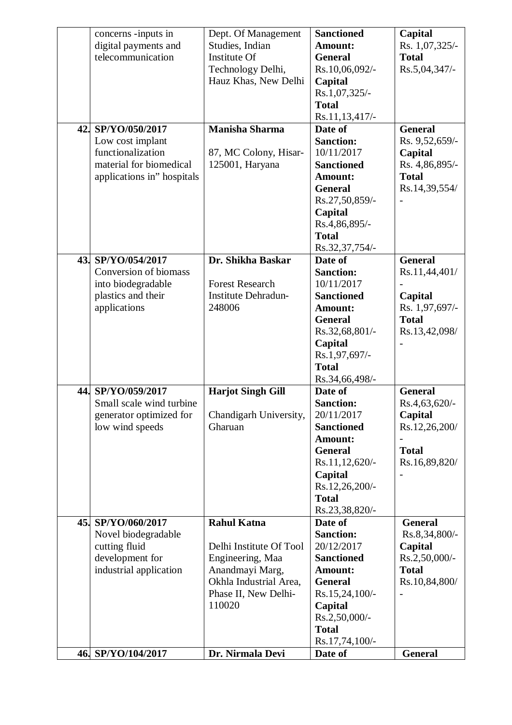|     | concerns -inputs in        | Dept. Of Management        | <b>Sanctioned</b> | Capital        |
|-----|----------------------------|----------------------------|-------------------|----------------|
|     | digital payments and       | Studies, Indian            | <b>Amount:</b>    | Rs. 1,07,325/- |
|     | telecommunication          | Institute Of               | <b>General</b>    | <b>Total</b>   |
|     |                            | Technology Delhi,          | Rs.10,06,092/-    | Rs.5,04,347/-  |
|     |                            | Hauz Khas, New Delhi       | Capital           |                |
|     |                            |                            | Rs.1,07,325/-     |                |
|     |                            |                            | <b>Total</b>      |                |
|     |                            |                            | Rs.11,13,417/-    |                |
|     | 42. SP/YO/050/2017         | <b>Manisha Sharma</b>      | Date of           | <b>General</b> |
|     | Low cost implant           |                            | <b>Sanction:</b>  | Rs. 9,52,659/- |
|     | functionalization          | 87, MC Colony, Hisar-      | 10/11/2017        | Capital        |
|     | material for biomedical    | 125001, Haryana            | <b>Sanctioned</b> | Rs. 4,86,895/- |
|     | applications in" hospitals |                            | Amount:           | <b>Total</b>   |
|     |                            |                            | <b>General</b>    | Rs.14,39,554/  |
|     |                            |                            | Rs.27,50,859/-    |                |
|     |                            |                            | Capital           |                |
|     |                            |                            | Rs.4,86,895/-     |                |
|     |                            |                            | <b>Total</b>      |                |
|     |                            |                            | Rs.32,37,754/-    |                |
|     | 43. SP/YO/054/2017         | Dr. Shikha Baskar          | Date of           | <b>General</b> |
|     | Conversion of biomass      |                            | <b>Sanction:</b>  | Rs.11,44,401/  |
|     | into biodegradable         | <b>Forest Research</b>     | 10/11/2017        |                |
|     | plastics and their         | <b>Institute Dehradun-</b> | <b>Sanctioned</b> | Capital        |
|     | applications               | 248006                     | Amount:           | Rs. 1,97,697/- |
|     |                            |                            | <b>General</b>    | <b>Total</b>   |
|     |                            |                            | Rs.32,68,801/-    | Rs.13,42,098/  |
|     |                            |                            | Capital           |                |
|     |                            |                            | Rs.1,97,697/-     |                |
|     |                            |                            | <b>Total</b>      |                |
|     |                            |                            | Rs.34,66,498/-    |                |
| 44. | SP/YO/059/2017             | <b>Harjot Singh Gill</b>   | Date of           | <b>General</b> |
|     | Small scale wind turbine   |                            | <b>Sanction:</b>  | Rs.4,63,620/-  |
|     | generator optimized for    | Chandigarh University,     | 20/11/2017        | Capital        |
|     | low wind speeds            | Gharuan                    | <b>Sanctioned</b> | Rs.12,26,200/  |
|     |                            |                            | <b>Amount:</b>    |                |
|     |                            |                            | <b>General</b>    | <b>Total</b>   |
|     |                            |                            | Rs.11,12,620/-    | Rs.16,89,820/  |
|     |                            |                            | Capital           |                |
|     |                            |                            | Rs.12,26,200/-    |                |
|     |                            |                            | <b>Total</b>      |                |
|     |                            |                            | Rs.23,38,820/-    |                |
|     | 45. SP/YO/060/2017         | <b>Rahul Katna</b>         | Date of           | <b>General</b> |
|     | Novel biodegradable        |                            | <b>Sanction:</b>  | Rs.8,34,800/-  |
|     | cutting fluid              | Delhi Institute Of Tool    | 20/12/2017        | Capital        |
|     | development for            | Engineering, Maa           | <b>Sanctioned</b> | Rs.2,50,000/-  |
|     | industrial application     | Anandmayi Marg,            | Amount:           | <b>Total</b>   |
|     |                            | Okhla Industrial Area,     | <b>General</b>    | Rs.10,84,800/  |
|     |                            | Phase II, New Delhi-       | Rs.15,24,100/-    |                |
|     |                            | 110020                     | Capital           |                |
|     |                            |                            | Rs.2,50,000/-     |                |
|     |                            |                            | <b>Total</b>      |                |
|     |                            |                            | Rs.17,74,100/-    |                |
|     | 46. SP/YO/104/2017         | Dr. Nirmala Devi           | Date of           | <b>General</b> |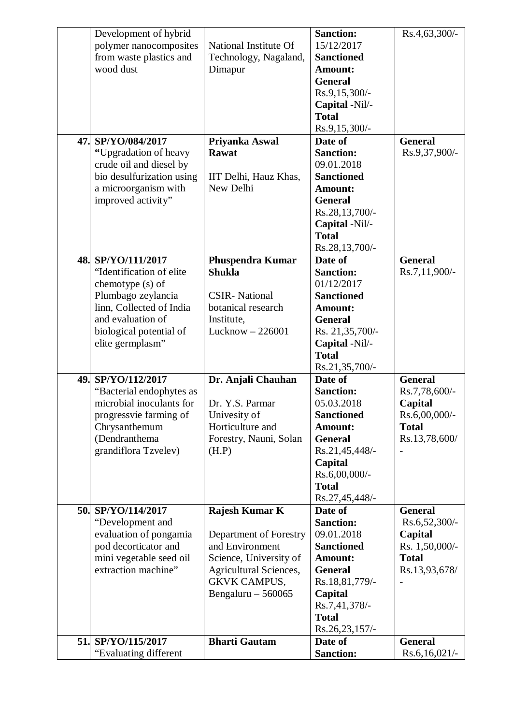|  | Development of hybrid     |                               | <b>Sanction:</b>          | Rs.4,63,300/-   |
|--|---------------------------|-------------------------------|---------------------------|-----------------|
|  | polymer nanocomposites    | National Institute Of         | 15/12/2017                |                 |
|  | from waste plastics and   | Technology, Nagaland,         | <b>Sanctioned</b>         |                 |
|  | wood dust                 | Dimapur                       | Amount:                   |                 |
|  |                           |                               | <b>General</b>            |                 |
|  |                           |                               | Rs.9,15,300/-             |                 |
|  |                           |                               | Capital -Nil/-            |                 |
|  |                           |                               | <b>Total</b>              |                 |
|  | 47. SP/YO/084/2017        | Priyanka Aswal                | Rs.9,15,300/-<br>Date of  | <b>General</b>  |
|  | "Upgradation of heavy     | Rawat                         | <b>Sanction:</b>          | Rs.9,37,900/-   |
|  | crude oil and diesel by   |                               | 09.01.2018                |                 |
|  | bio desulfurization using | IIT Delhi, Hauz Khas,         | <b>Sanctioned</b>         |                 |
|  | a microorganism with      | New Delhi                     | Amount:                   |                 |
|  | improved activity"        |                               | <b>General</b>            |                 |
|  |                           |                               | Rs.28,13,700/-            |                 |
|  |                           |                               | Capital -Nil/-            |                 |
|  |                           |                               | <b>Total</b>              |                 |
|  |                           |                               | Rs.28,13,700/-            |                 |
|  | 48. SP/YO/111/2017        | <b>Phuspendra Kumar</b>       | Date of                   | <b>General</b>  |
|  | "Identification of elite  | <b>Shukla</b>                 | <b>Sanction:</b>          | Rs.7,11,900/-   |
|  | chemotype (s) of          |                               | 01/12/2017                |                 |
|  | Plumbago zeylancia        | <b>CSIR-</b> National         | <b>Sanctioned</b>         |                 |
|  | linn, Collected of India  | botanical research            | Amount:                   |                 |
|  | and evaluation of         | Institute,                    | <b>General</b>            |                 |
|  | biological potential of   | Lucknow $-226001$             | Rs. 21,35,700/-           |                 |
|  | elite germplasm"          |                               | Capital -Nil/-            |                 |
|  |                           |                               | <b>Total</b>              |                 |
|  |                           |                               | Rs.21,35,700/-            |                 |
|  | 49. SP/YO/112/2017        | Dr. Anjali Chauhan            | Date of                   | <b>General</b>  |
|  | "Bacterial endophytes as  |                               | <b>Sanction:</b>          | Rs.7,78,600/-   |
|  | microbial inoculants for  | Dr. Y.S. Parmar               | 05.03.2018                | Capital         |
|  | progressvie farming of    | Univesity of                  | <b>Sanctioned</b>         | Rs.6,00,000/-   |
|  | Chrysanthemum             | Horticulture and              | Amount:                   | <b>Total</b>    |
|  | (Dendranthema             | Forestry, Nauni, Solan        | <b>General</b>            | Rs.13,78,600/   |
|  | grandiflora Tzvelev)      | (H.P)                         | Rs.21,45,448/-            |                 |
|  |                           |                               | Capital                   |                 |
|  |                           |                               | Rs.6,00,000/-             |                 |
|  |                           |                               | <b>Total</b>              |                 |
|  |                           |                               | Rs.27,45,448/-            |                 |
|  | 50. SP/YO/114/2017        | Rajesh Kumar K                | Date of                   | <b>General</b>  |
|  | "Development and          |                               | <b>Sanction:</b>          | Rs.6,52,300/-   |
|  | evaluation of pongamia    | Department of Forestry        | 09.01.2018                | Capital         |
|  | pod decorticator and      | and Environment               | <b>Sanctioned</b>         | Rs. 1,50,000/-  |
|  | mini vegetable seed oil   | Science, University of        | Amount:                   | <b>Total</b>    |
|  | extraction machine"       | <b>Agricultural Sciences,</b> | <b>General</b>            | Rs.13,93,678/   |
|  |                           | <b>GKVK CAMPUS,</b>           | Rs.18,81,779/-            |                 |
|  |                           | Bengaluru $-560065$           | Capital                   |                 |
|  |                           |                               | Rs.7,41,378/-             |                 |
|  |                           |                               | <b>Total</b>              |                 |
|  | 51. SP/YO/115/2017        | <b>Bharti Gautam</b>          | Rs.26,23,157/-<br>Date of | <b>General</b>  |
|  | "Evaluating different     |                               | <b>Sanction:</b>          | $Rs.6,16,021/-$ |
|  |                           |                               |                           |                 |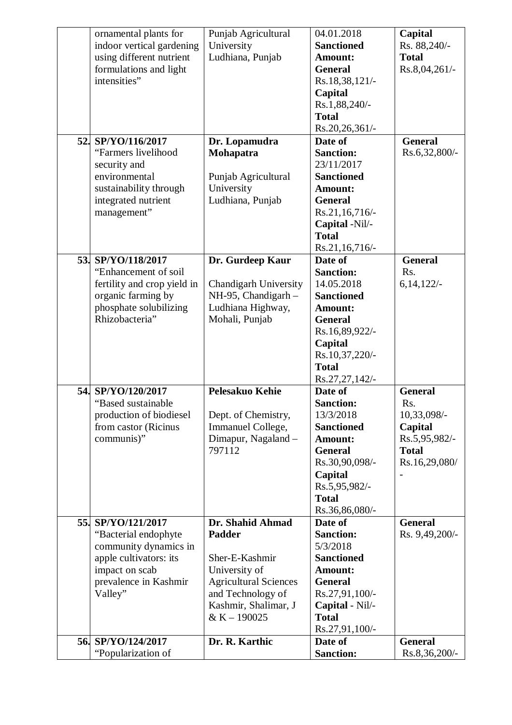| ornamental plants for<br>indoor vertical gardening<br>using different nutrient<br>formulations and light<br>intensities"                            | Punjab Agricultural<br>University<br>Ludhiana, Punjab                                                                                                             | 04.01.2018<br><b>Sanctioned</b><br><b>Amount:</b><br><b>General</b><br>Rs.18,38,121/-<br>Capital<br>Rs.1,88,240/-<br><b>Total</b><br>Rs.20,26,361/-                                 | Capital<br>Rs. 88,240/-<br><b>Total</b><br>Rs.8,04,261/-                                          |
|-----------------------------------------------------------------------------------------------------------------------------------------------------|-------------------------------------------------------------------------------------------------------------------------------------------------------------------|-------------------------------------------------------------------------------------------------------------------------------------------------------------------------------------|---------------------------------------------------------------------------------------------------|
| 52. SP/YO/116/2017<br>"Farmers livelihood<br>security and<br>environmental<br>sustainability through<br>integrated nutrient<br>management"          | Dr. Lopamudra<br>Mohapatra<br>Punjab Agricultural<br>University<br>Ludhiana, Punjab                                                                               | Date of<br><b>Sanction:</b><br>23/11/2017<br><b>Sanctioned</b><br>Amount:<br><b>General</b><br>Rs.21,16,716/-<br>Capital -Nil/-<br><b>Total</b><br>$Rs.21,16,716/$ -                | <b>General</b><br>Rs.6,32,800/-                                                                   |
| 53. SP/YO/118/2017<br>"Enhancement of soil<br>fertility and crop yield in<br>organic farming by<br>phosphate solubilizing<br>Rhizobacteria"         | Dr. Gurdeep Kaur<br><b>Chandigarh University</b><br>$NH-95$ , Chandigarh -<br>Ludhiana Highway,<br>Mohali, Punjab                                                 | Date of<br><b>Sanction:</b><br>14.05.2018<br><b>Sanctioned</b><br><b>Amount:</b><br><b>General</b><br>Rs.16,89,922/-<br>Capital<br>Rs.10,37,220/-<br><b>Total</b><br>Rs.27,27,142/- | <b>General</b><br>Rs.<br>6,14,122/                                                                |
| 54. SP/YO/120/2017<br>"Based sustainable<br>production of biodiesel<br>from castor (Ricinus<br>communis)"                                           | <b>Pelesakuo Kehie</b><br>Dept. of Chemistry,<br>Immanuel College,<br>Dimapur, Nagaland -<br>797112                                                               | Date of<br><b>Sanction:</b><br>13/3/2018<br><b>Sanctioned</b><br>Amount:<br><b>General</b><br>Rs.30,90,098/-<br>Capital<br>Rs.5,95,982/-<br><b>Total</b><br>Rs.36,86,080/-          | <b>General</b><br>Rs.<br>10,33,098/-<br>Capital<br>Rs.5,95,982/-<br><b>Total</b><br>Rs.16,29,080/ |
| 55. SP/YO/121/2017<br>"Bacterial endophyte<br>community dynamics in<br>apple cultivators: its<br>impact on scab<br>prevalence in Kashmir<br>Valley" | Dr. Shahid Ahmad<br><b>Padder</b><br>Sher-E-Kashmir<br>University of<br><b>Agricultural Sciences</b><br>and Technology of<br>Kashmir, Shalimar, J<br>& K - 190025 | Date of<br><b>Sanction:</b><br>5/3/2018<br><b>Sanctioned</b><br>Amount:<br><b>General</b><br>Rs.27,91,100/-<br>Capital - Nil/-<br><b>Total</b><br>Rs.27,91,100/-                    | <b>General</b><br>Rs. 9,49,200/-                                                                  |
| 56. SP/YO/124/2017<br>"Popularization of                                                                                                            | Dr. R. Karthic                                                                                                                                                    | Date of<br><b>Sanction:</b>                                                                                                                                                         | <b>General</b><br>Rs.8,36,200/-                                                                   |